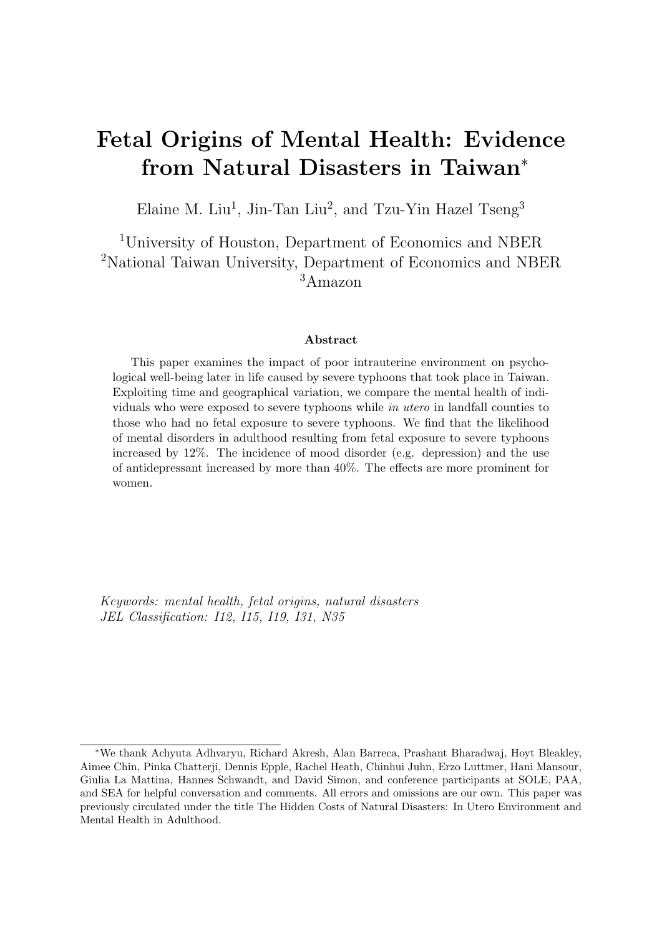# Fetal Origins of Mental Health: Evidence from Natural Disasters in Taiwan<sup>∗</sup>

Elaine M. Liu<sup>1</sup>, Jin-Tan Liu<sup>2</sup>, and Tzu-Yin Hazel Tseng<sup>3</sup>

<sup>1</sup>University of Houston, Department of Economics and NBER <sup>2</sup>National Taiwan University, Department of Economics and NBER <sup>3</sup>Amazon

#### Abstract

This paper examines the impact of poor intrauterine environment on psychological well-being later in life caused by severe typhoons that took place in Taiwan. Exploiting time and geographical variation, we compare the mental health of individuals who were exposed to severe typhoons while in utero in landfall counties to those who had no fetal exposure to severe typhoons. We find that the likelihood of mental disorders in adulthood resulting from fetal exposure to severe typhoons increased by 12%. The incidence of mood disorder (e.g. depression) and the use of antidepressant increased by more than 40%. The effects are more prominent for women.

Keywords: mental health, fetal origins, natural disasters JEL Classification: I12, I15, I19, I31, N35

<sup>∗</sup>We thank Achyuta Adhvaryu, Richard Akresh, Alan Barreca, Prashant Bharadwaj, Hoyt Bleakley, Aimee Chin, Pinka Chatterji, Dennis Epple, Rachel Heath, Chinhui Juhn, Erzo Luttmer, Hani Mansour, Giulia La Mattina, Hannes Schwandt, and David Simon, and conference participants at SOLE, PAA, and SEA for helpful conversation and comments. All errors and omissions are our own. This paper was previously circulated under the title The Hidden Costs of Natural Disasters: In Utero Environment and Mental Health in Adulthood.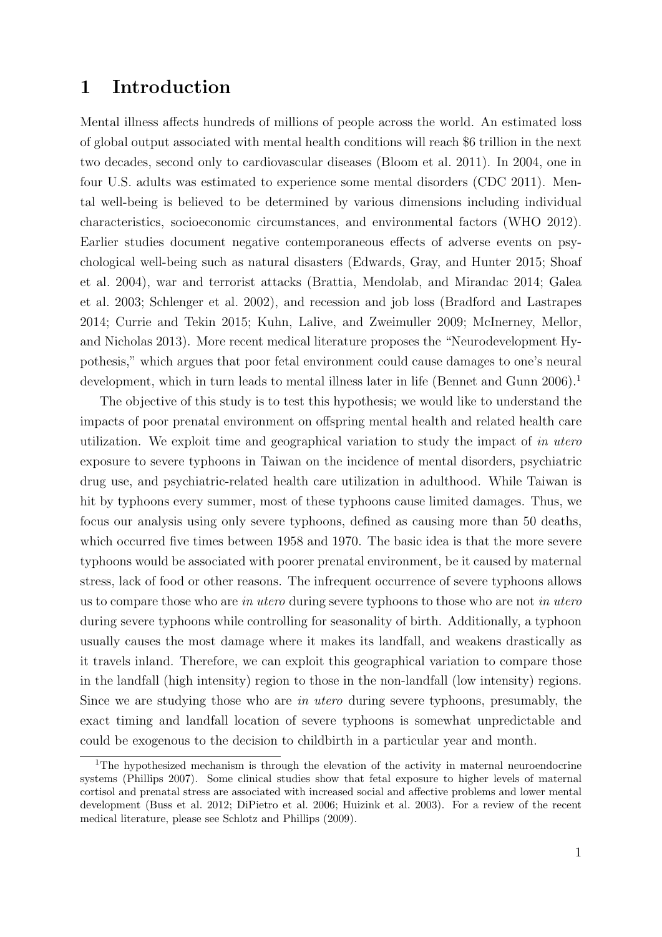# 1 Introduction

Mental illness affects hundreds of millions of people across the world. An estimated loss of global output associated with mental health conditions will reach \$6 trillion in the next two decades, second only to cardiovascular diseases [\(Bloom et al. 2011\)](#page-17-0). In 2004, one in four U.S. adults was estimated to experience some mental disorders [\(CDC 2011\)](#page-18-0). Mental well-being is believed to be determined by various dimensions including individual characteristics, socioeconomic circumstances, and environmental factors [\(WHO 2012\)](#page-22-0). Earlier studies document negative contemporaneous effects of adverse events on psychological well-being such as natural disasters [\(Edwards, Gray, and Hunter 2015;](#page-19-0) [Shoaf](#page-22-1) [et al. 2004\)](#page-22-1), war and terrorist attacks [\(Brattia, Mendolab, and Mirandac 2014;](#page-17-1) [Galea](#page-19-1) [et al. 2003;](#page-19-1) [Schlenger et al. 2002\)](#page-21-0), and recession and job loss [\(Bradford and Lastrapes](#page-17-2) [2014;](#page-17-2) [Currie and Tekin 2015;](#page-18-1) [Kuhn, Lalive, and Zweimuller 2009;](#page-20-0) [McInerney, Mellor,](#page-20-1) [and Nicholas 2013\)](#page-20-1). More recent medical literature proposes the "Neurodevelopment Hypothesis," which argues that poor fetal environment could cause damages to one's neural development, which in turn leads to mental illness later in life [\(Bennet and Gunn 2006\)](#page-16-0).<sup>[1](#page-1-0)</sup>

The objective of this study is to test this hypothesis; we would like to understand the impacts of poor prenatal environment on offspring mental health and related health care utilization. We exploit time and geographical variation to study the impact of in utero exposure to severe typhoons in Taiwan on the incidence of mental disorders, psychiatric drug use, and psychiatric-related health care utilization in adulthood. While Taiwan is hit by typhoons every summer, most of these typhoons cause limited damages. Thus, we focus our analysis using only severe typhoons, defined as causing more than 50 deaths, which occurred five times between 1958 and 1970. The basic idea is that the more severe typhoons would be associated with poorer prenatal environment, be it caused by maternal stress, lack of food or other reasons. The infrequent occurrence of severe typhoons allows us to compare those who are *in utero* during severe typhoons to those who are not *in utero* during severe typhoons while controlling for seasonality of birth. Additionally, a typhoon usually causes the most damage where it makes its landfall, and weakens drastically as it travels inland. Therefore, we can exploit this geographical variation to compare those in the landfall (high intensity) region to those in the non-landfall (low intensity) regions. Since we are studying those who are in utero during severe typhoons, presumably, the exact timing and landfall location of severe typhoons is somewhat unpredictable and could be exogenous to the decision to childbirth in a particular year and month.

<span id="page-1-0"></span><sup>&</sup>lt;sup>1</sup>The hypothesized mechanism is through the elevation of the activity in maternal neuroendocrine systems [\(Phillips 2007\)](#page-21-1). Some clinical studies show that fetal exposure to higher levels of maternal cortisol and prenatal stress are associated with increased social and affective problems and lower mental development [\(Buss et al. 2012;](#page-17-3) [DiPietro et al. 2006;](#page-18-2) [Huizink et al. 2003\)](#page-19-2). For a review of the recent medical literature, please see [Schlotz and Phillips](#page-21-2) [\(2009\)](#page-21-2).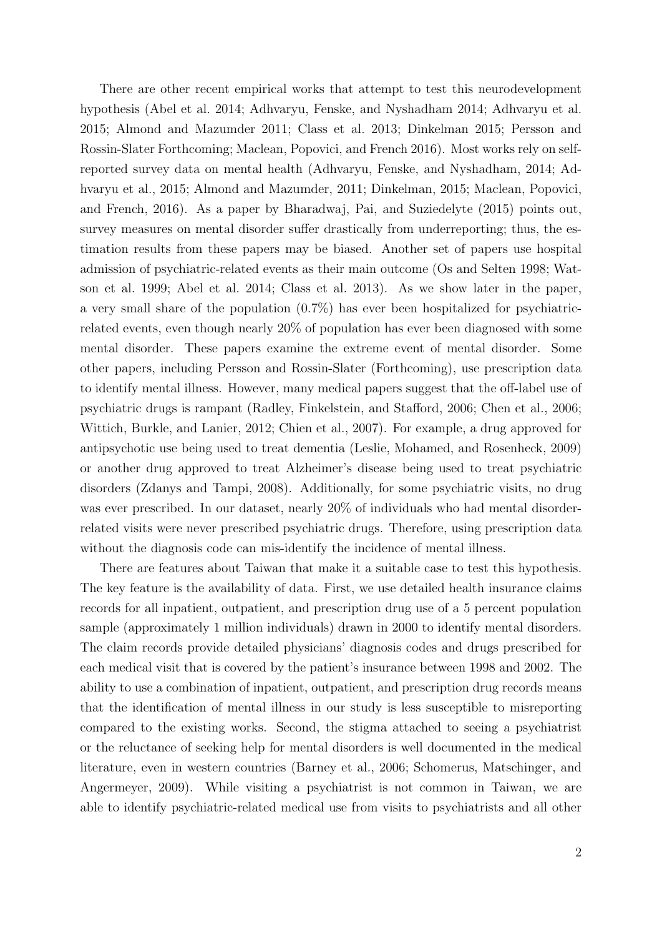There are other recent empirical works that attempt to test this neurodevelopment hypothesis [\(Abel et al. 2014;](#page-16-1) [Adhvaryu, Fenske, and Nyshadham 2014;](#page-16-2) [Adhvaryu et al.](#page-16-3) [2015;](#page-16-3) [Almond and Mazumder 2011;](#page-16-4) [Class et al. 2013;](#page-18-3) [Dinkelman 2015;](#page-18-4) [Persson and](#page-21-3) [Rossin-Slater Forthcoming;](#page-21-3) [Maclean, Popovici, and French 2016\)](#page-20-2). Most works rely on selfreported survey data on mental health [\(Adhvaryu, Fenske, and Nyshadham, 2014;](#page-16-2) [Ad](#page-16-3)[hvaryu et al., 2015;](#page-16-3) [Almond and Mazumder, 2011;](#page-16-4) [Dinkelman, 2015;](#page-18-4) [Maclean, Popovici,](#page-20-2) [and French, 2016\)](#page-20-2). As a paper by [Bharadwaj, Pai, and Suziedelyte](#page-16-5) [\(2015\)](#page-16-5) points out, survey measures on mental disorder suffer drastically from underreporting; thus, the estimation results from these papers may be biased. Another set of papers use hospital admission of psychiatric-related events as their main outcome [\(Os and Selten 1998;](#page-21-4) [Wat](#page-22-2)[son et al. 1999;](#page-22-2) [Abel et al. 2014;](#page-16-1) [Class et al. 2013\)](#page-18-3). As we show later in the paper, a very small share of the population (0.7%) has ever been hospitalized for psychiatricrelated events, even though nearly 20% of population has ever been diagnosed with some mental disorder. These papers examine the extreme event of mental disorder. Some other papers, including [Persson and Rossin-Slater](#page-21-3) [\(Forthcoming\)](#page-21-3), use prescription data to identify mental illness. However, many medical papers suggest that the off-label use of psychiatric drugs is rampant [\(Radley, Finkelstein, and Stafford, 2006;](#page-21-5) [Chen et al., 2006;](#page-18-5) [Wittich, Burkle, and Lanier, 2012;](#page-22-3) [Chien et al., 2007\)](#page-18-6). For example, a drug approved for antipsychotic use being used to treat dementia [\(Leslie, Mohamed, and Rosenheck, 2009\)](#page-20-3) or another drug approved to treat Alzheimer's disease being used to treat psychiatric disorders [\(Zdanys and Tampi, 2008\)](#page-22-4). Additionally, for some psychiatric visits, no drug was ever prescribed. In our dataset, nearly 20% of individuals who had mental disorderrelated visits were never prescribed psychiatric drugs. Therefore, using prescription data without the diagnosis code can mis-identify the incidence of mental illness.

There are features about Taiwan that make it a suitable case to test this hypothesis. The key feature is the availability of data. First, we use detailed health insurance claims records for all inpatient, outpatient, and prescription drug use of a 5 percent population sample (approximately 1 million individuals) drawn in 2000 to identify mental disorders. The claim records provide detailed physicians' diagnosis codes and drugs prescribed for each medical visit that is covered by the patient's insurance between 1998 and 2002. The ability to use a combination of inpatient, outpatient, and prescription drug records means that the identification of mental illness in our study is less susceptible to misreporting compared to the existing works. Second, the stigma attached to seeing a psychiatrist or the reluctance of seeking help for mental disorders is well documented in the medical literature, even in western countries [\(Barney et al., 2006;](#page-16-6) [Schomerus, Matschinger, and](#page-21-6) [Angermeyer, 2009\)](#page-21-6). While visiting a psychiatrist is not common in Taiwan, we are able to identify psychiatric-related medical use from visits to psychiatrists and all other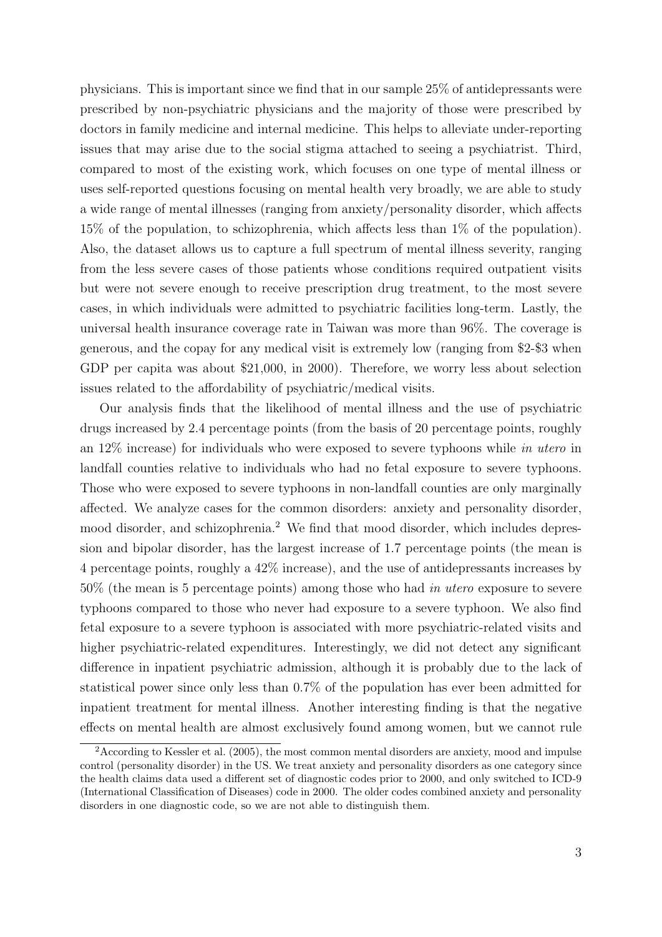physicians. This is important since we find that in our sample 25% of antidepressants were prescribed by non-psychiatric physicians and the majority of those were prescribed by doctors in family medicine and internal medicine. This helps to alleviate under-reporting issues that may arise due to the social stigma attached to seeing a psychiatrist. Third, compared to most of the existing work, which focuses on one type of mental illness or uses self-reported questions focusing on mental health very broadly, we are able to study a wide range of mental illnesses (ranging from anxiety/personality disorder, which affects 15% of the population, to schizophrenia, which affects less than 1% of the population). Also, the dataset allows us to capture a full spectrum of mental illness severity, ranging from the less severe cases of those patients whose conditions required outpatient visits but were not severe enough to receive prescription drug treatment, to the most severe cases, in which individuals were admitted to psychiatric facilities long-term. Lastly, the universal health insurance coverage rate in Taiwan was more than 96%. The coverage is generous, and the copay for any medical visit is extremely low (ranging from \$2-\$3 when GDP per capita was about \$21,000, in 2000). Therefore, we worry less about selection issues related to the affordability of psychiatric/medical visits.

Our analysis finds that the likelihood of mental illness and the use of psychiatric drugs increased by 2.4 percentage points (from the basis of 20 percentage points, roughly an  $12\%$  increase) for individuals who were exposed to severe typhoons while in utero in landfall counties relative to individuals who had no fetal exposure to severe typhoons. Those who were exposed to severe typhoons in non-landfall counties are only marginally affected. We analyze cases for the common disorders: anxiety and personality disorder, mood disorder, and schizophrenia.<sup>[2](#page-3-0)</sup> We find that mood disorder, which includes depression and bipolar disorder, has the largest increase of 1.7 percentage points (the mean is 4 percentage points, roughly a 42% increase), and the use of antidepressants increases by 50% (the mean is 5 percentage points) among those who had in utero exposure to severe typhoons compared to those who never had exposure to a severe typhoon. We also find fetal exposure to a severe typhoon is associated with more psychiatric-related visits and higher psychiatric-related expenditures. Interestingly, we did not detect any significant difference in inpatient psychiatric admission, although it is probably due to the lack of statistical power since only less than 0.7% of the population has ever been admitted for inpatient treatment for mental illness. Another interesting finding is that the negative effects on mental health are almost exclusively found among women, but we cannot rule

<span id="page-3-0"></span><sup>&</sup>lt;sup>2</sup>According to [Kessler et al.](#page-19-3) [\(2005\)](#page-19-3), the most common mental disorders are anxiety, mood and impulse control (personality disorder) in the US. We treat anxiety and personality disorders as one category since the health claims data used a different set of diagnostic codes prior to 2000, and only switched to ICD-9 (International Classification of Diseases) code in 2000. The older codes combined anxiety and personality disorders in one diagnostic code, so we are not able to distinguish them.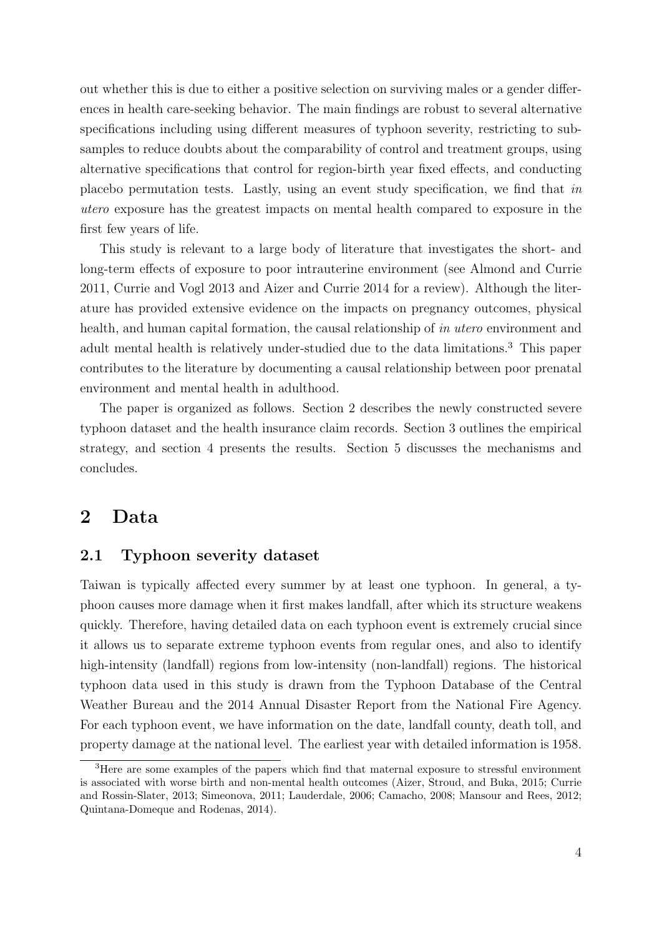out whether this is due to either a positive selection on surviving males or a gender differences in health care-seeking behavior. The main findings are robust to several alternative specifications including using different measures of typhoon severity, restricting to subsamples to reduce doubts about the comparability of control and treatment groups, using alternative specifications that control for region-birth year fixed effects, and conducting placebo permutation tests. Lastly, using an event study specification, we find that in utero exposure has the greatest impacts on mental health compared to exposure in the first few years of life.

This study is relevant to a large body of literature that investigates the short- and long-term effects of exposure to poor intrauterine environment (see [Almond and Currie](#page-16-7) [2011,](#page-16-7) [Currie and Vogl 2013](#page-18-7) and [Aizer and Currie 2014](#page-16-8) for a review). Although the literature has provided extensive evidence on the impacts on pregnancy outcomes, physical health, and human capital formation, the causal relationship of in utero environment and adult mental health is relatively under-studied due to the data limitations.[3](#page-4-0) This paper contributes to the literature by documenting a causal relationship between poor prenatal environment and mental health in adulthood.

The paper is organized as follows. Section 2 describes the newly constructed severe typhoon dataset and the health insurance claim records. Section 3 outlines the empirical strategy, and section 4 presents the results. Section 5 discusses the mechanisms and concludes.

# 2 Data

### 2.1 Typhoon severity dataset

Taiwan is typically affected every summer by at least one typhoon. In general, a typhoon causes more damage when it first makes landfall, after which its structure weakens quickly. Therefore, having detailed data on each typhoon event is extremely crucial since it allows us to separate extreme typhoon events from regular ones, and also to identify high-intensity (landfall) regions from low-intensity (non-landfall) regions. The historical typhoon data used in this study is drawn from the Typhoon Database of the Central Weather Bureau and the 2014 Annual Disaster Report from the National Fire Agency. For each typhoon event, we have information on the date, landfall county, death toll, and property damage at the national level. The earliest year with detailed information is 1958.

<span id="page-4-0"></span><sup>&</sup>lt;sup>3</sup>Here are some examples of the papers which find that maternal exposure to stressful environment is associated with worse birth and non-mental health outcomes [\(Aizer, Stroud, and Buka, 2015;](#page-16-9) [Currie](#page-18-8) [and Rossin-Slater, 2013;](#page-18-8) [Simeonova, 2011;](#page-22-5) [Lauderdale, 2006;](#page-20-4) [Camacho, 2008;](#page-17-4) [Mansour and Rees, 2012;](#page-20-5) [Quintana-Domeque and Rodenas, 2014\)](#page-21-7).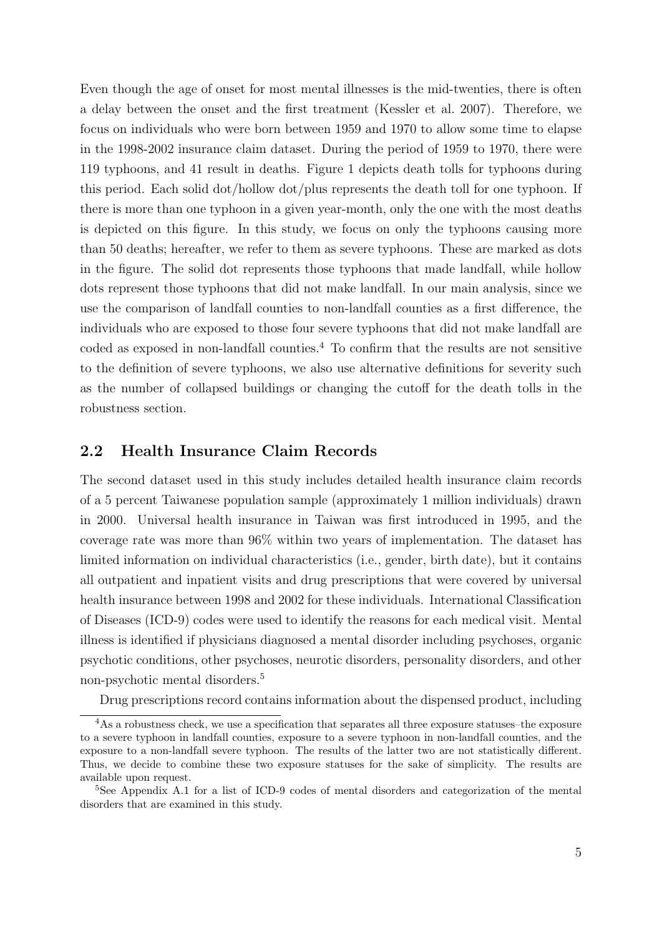Even though the age of onset for most mental illnesses is the mid-twenties, there is often a delay between the onset and the first treatment [\(Kessler et al. 2007\)](#page-19-4). Therefore, we focus on individuals who were born between 1959 and 1970 to allow some time to elapse in the 1998-2002 insurance claim dataset. During the period of 1959 to 1970, there were 119 typhoons, and 41 result in deaths. Figure [1](#page-23-0) depicts death tolls for typhoons during this period. Each solid dot/hollow dot/plus represents the death toll for one typhoon. If there is more than one typhoon in a given year-month, only the one with the most deaths is depicted on this figure. In this study, we focus on only the typhoons causing more than 50 deaths; hereafter, we refer to them as severe typhoons. These are marked as dots in the figure. The solid dot represents those typhoons that made landfall, while hollow dots represent those typhoons that did not make landfall. In our main analysis, since we use the comparison of landfall counties to non-landfall counties as a first difference, the individuals who are exposed to those four severe typhoons that did not make landfall are coded as exposed in non-landfall counties.<sup>[4](#page-5-0)</sup> To confirm that the results are not sensitive to the definition of severe typhoons, we also use alternative definitions for severity such as the number of collapsed buildings or changing the cutoff for the death tolls in the robustness section.

#### 2.2 Health Insurance Claim Records

The second dataset used in this study includes detailed health insurance claim records of a 5 percent Taiwanese population sample (approximately 1 million individuals) drawn in 2000. Universal health insurance in Taiwan was first introduced in 1995, and the coverage rate was more than 96% within two years of implementation. The dataset has limited information on individual characteristics (i.e., gender, birth date), but it contains all outpatient and inpatient visits and drug prescriptions that were covered by universal health insurance between 1998 and 2002 for these individuals. International Classification of Diseases (ICD-9) codes were used to identify the reasons for each medical visit. Mental illness is identified if physicians diagnosed a mental disorder including psychoses, organic psychotic conditions, other psychoses, neurotic disorders, personality disorders, and other non-psychotic mental disorders.[5](#page-5-1)

<span id="page-5-0"></span>Drug prescriptions record contains information about the dispensed product, including

<sup>&</sup>lt;sup>4</sup>As a robustness check, we use a specification that separates all three exposure statuses–the exposure to a severe typhoon in landfall counties, exposure to a severe typhoon in non-landfall counties, and the exposure to a non-landfall severe typhoon. The results of the latter two are not statistically different. Thus, we decide to combine these two exposure statuses for the sake of simplicity. The results are available upon request.

<span id="page-5-1"></span><sup>&</sup>lt;sup>5</sup>See Appendix A.1 for a list of ICD-9 codes of mental disorders and categorization of the mental disorders that are examined in this study.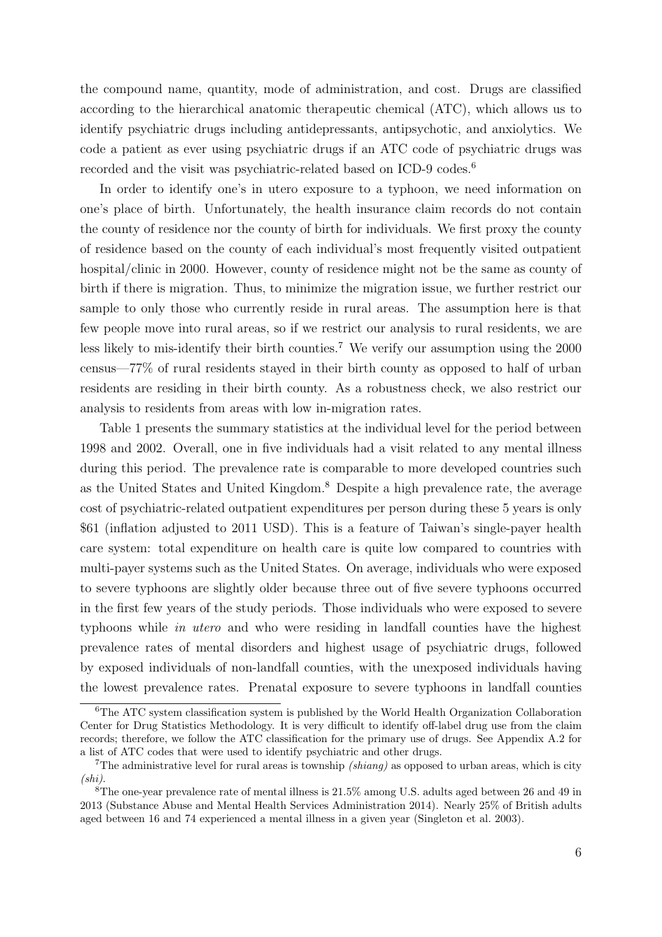the compound name, quantity, mode of administration, and cost. Drugs are classified according to the hierarchical anatomic therapeutic chemical (ATC), which allows us to identify psychiatric drugs including antidepressants, antipsychotic, and anxiolytics. We code a patient as ever using psychiatric drugs if an ATC code of psychiatric drugs was recorded and the visit was psychiatric-related based on ICD-9 codes.<sup>[6](#page-6-0)</sup>

In order to identify one's in utero exposure to a typhoon, we need information on one's place of birth. Unfortunately, the health insurance claim records do not contain the county of residence nor the county of birth for individuals. We first proxy the county of residence based on the county of each individual's most frequently visited outpatient hospital/clinic in 2000. However, county of residence might not be the same as county of birth if there is migration. Thus, to minimize the migration issue, we further restrict our sample to only those who currently reside in rural areas. The assumption here is that few people move into rural areas, so if we restrict our analysis to rural residents, we are less likely to mis-identify their birth counties.<sup>[7](#page-6-1)</sup> We verify our assumption using the  $2000$ census—77% of rural residents stayed in their birth county as opposed to half of urban residents are residing in their birth county. As a robustness check, we also restrict our analysis to residents from areas with low in-migration rates.

Table [1](#page-28-0) presents the summary statistics at the individual level for the period between 1998 and 2002. Overall, one in five individuals had a visit related to any mental illness during this period. The prevalence rate is comparable to more developed countries such as the United States and United Kingdom.[8](#page-6-2) Despite a high prevalence rate, the average cost of psychiatric-related outpatient expenditures per person during these 5 years is only \$61 (inflation adjusted to 2011 USD). This is a feature of Taiwan's single-payer health care system: total expenditure on health care is quite low compared to countries with multi-payer systems such as the United States. On average, individuals who were exposed to severe typhoons are slightly older because three out of five severe typhoons occurred in the first few years of the study periods. Those individuals who were exposed to severe typhoons while in utero and who were residing in landfall counties have the highest prevalence rates of mental disorders and highest usage of psychiatric drugs, followed by exposed individuals of non-landfall counties, with the unexposed individuals having the lowest prevalence rates. Prenatal exposure to severe typhoons in landfall counties

<span id="page-6-0"></span><sup>&</sup>lt;sup>6</sup>The ATC system classification system is published by the World Health Organization Collaboration Center for Drug Statistics Methodology. It is very difficult to identify off-label drug use from the claim records; therefore, we follow the ATC classification for the primary use of drugs. See Appendix A.2 for a list of ATC codes that were used to identify psychiatric and other drugs.

<span id="page-6-1"></span><sup>&</sup>lt;sup>7</sup>The administrative level for rural areas is township *(shiang)* as opposed to urban areas, which is city (shi).

<span id="page-6-2"></span><sup>8</sup>The one-year prevalence rate of mental illness is 21.5% among U.S. adults aged between 26 and 49 in 2013 (Substance Abuse and Mental Health Services Administration 2014). Nearly 25% of British adults aged between 16 and 74 experienced a mental illness in a given year [\(Singleton et al. 2003\)](#page-22-6).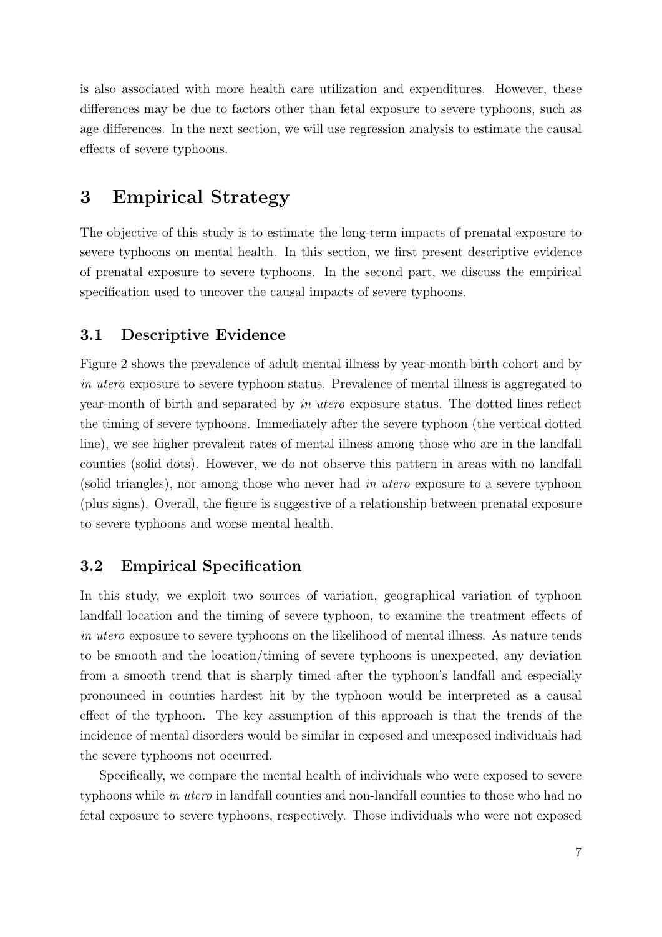is also associated with more health care utilization and expenditures. However, these differences may be due to factors other than fetal exposure to severe typhoons, such as age differences. In the next section, we will use regression analysis to estimate the causal effects of severe typhoons.

# 3 Empirical Strategy

The objective of this study is to estimate the long-term impacts of prenatal exposure to severe typhoons on mental health. In this section, we first present descriptive evidence of prenatal exposure to severe typhoons. In the second part, we discuss the empirical specification used to uncover the causal impacts of severe typhoons.

# 3.1 Descriptive Evidence

Figure [2](#page-24-0) shows the prevalence of adult mental illness by year-month birth cohort and by in utero exposure to severe typhoon status. Prevalence of mental illness is aggregated to year-month of birth and separated by in utero exposure status. The dotted lines reflect the timing of severe typhoons. Immediately after the severe typhoon (the vertical dotted line), we see higher prevalent rates of mental illness among those who are in the landfall counties (solid dots). However, we do not observe this pattern in areas with no landfall (solid triangles), nor among those who never had in utero exposure to a severe typhoon (plus signs). Overall, the figure is suggestive of a relationship between prenatal exposure to severe typhoons and worse mental health.

# 3.2 Empirical Specification

In this study, we exploit two sources of variation, geographical variation of typhoon landfall location and the timing of severe typhoon, to examine the treatment effects of in utero exposure to severe typhoons on the likelihood of mental illness. As nature tends to be smooth and the location/timing of severe typhoons is unexpected, any deviation from a smooth trend that is sharply timed after the typhoon's landfall and especially pronounced in counties hardest hit by the typhoon would be interpreted as a causal effect of the typhoon. The key assumption of this approach is that the trends of the incidence of mental disorders would be similar in exposed and unexposed individuals had the severe typhoons not occurred.

Specifically, we compare the mental health of individuals who were exposed to severe typhoons while in utero in landfall counties and non-landfall counties to those who had no fetal exposure to severe typhoons, respectively. Those individuals who were not exposed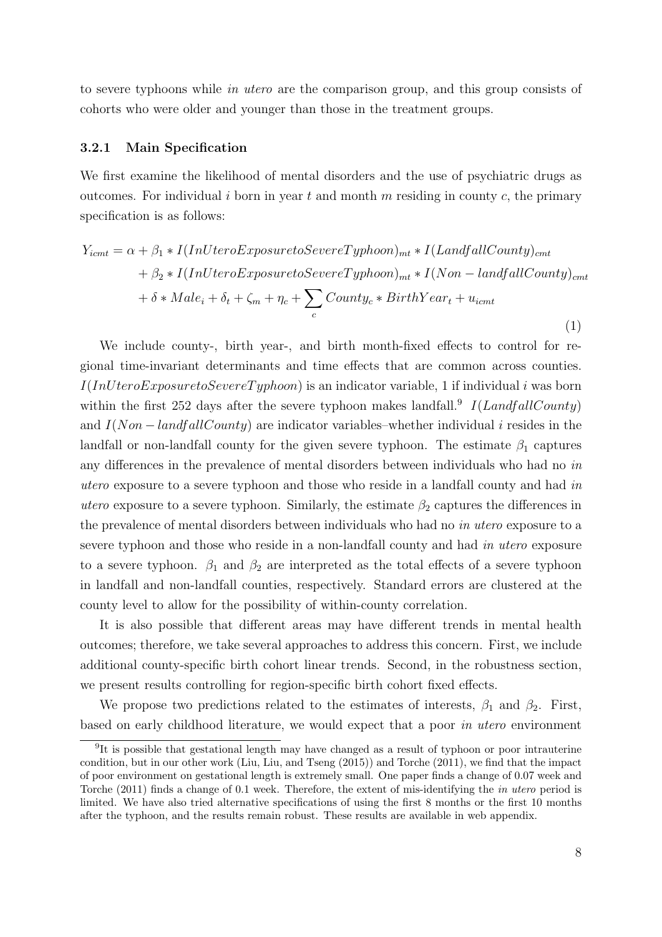to severe typhoons while in utero are the comparison group, and this group consists of cohorts who were older and younger than those in the treatment groups.

#### 3.2.1 Main Specification

<span id="page-8-1"></span>We first examine the likelihood of mental disorders and the use of psychiatric drugs as outcomes. For individual i born in year t and month m residing in county c, the primary specification is as follows:

$$
Y_{icmt} = \alpha + \beta_1 * I(InUteroExposure to Severer Typhoon)_{mt} * I(LandfallCountry)_{cmt}
$$

$$
+ \beta_2 * I(InUteroExposure to Severer Typhoon)_{mt} * I(Non-landfallCountry)_{cmt}
$$

$$
+ \delta * Male_i + \delta_t + \zeta_m + \eta_c + \sum_c County_c * BirthYear_t + u_{icmt}
$$
\n(1)

We include county-, birth year-, and birth month-fixed effects to control for regional time-invariant determinants and time effects that are common across counties.  $I(IntU teroExposure to SevererTyphoon)$  is an indicator variable, 1 if individual i was born within the first 252 days after the severe typhoon makes landfall.<sup>[9](#page-8-0)</sup>  $I(LandfallCountry)$ and  $I(Non-landfallCountry)$  are indicator variables–whether individual i resides in the landfall or non-landfall county for the given severe typhoon. The estimate  $\beta_1$  captures any differences in the prevalence of mental disorders between individuals who had no in utero exposure to a severe typhoon and those who reside in a landfall county and had in utero exposure to a severe typhoon. Similarly, the estimate  $\beta_2$  captures the differences in the prevalence of mental disorders between individuals who had no *in utero* exposure to a severe typhoon and those who reside in a non-landfall county and had in utero exposure to a severe typhoon.  $\beta_1$  and  $\beta_2$  are interpreted as the total effects of a severe typhoon in landfall and non-landfall counties, respectively. Standard errors are clustered at the county level to allow for the possibility of within-county correlation.

It is also possible that different areas may have different trends in mental health outcomes; therefore, we take several approaches to address this concern. First, we include additional county-specific birth cohort linear trends. Second, in the robustness section, we present results controlling for region-specific birth cohort fixed effects.

We propose two predictions related to the estimates of interests,  $\beta_1$  and  $\beta_2$ . First, based on early childhood literature, we would expect that a poor in utero environment

<span id="page-8-0"></span><sup>&</sup>lt;sup>9</sup>It is possible that gestational length may have changed as a result of typhoon or poor intrauterine condition, but in our other work [\(Liu, Liu, and Tseng](#page-20-6) [\(2015\)](#page-20-6)) and [Torche](#page-22-7) [\(2011\)](#page-22-7), we find that the impact of poor environment on gestational length is extremely small. One paper finds a change of 0.07 week and [Torche](#page-22-7) [\(2011\)](#page-22-7) finds a change of 0.1 week. Therefore, the extent of mis-identifying the in utero period is limited. We have also tried alternative specifications of using the first 8 months or the first 10 months after the typhoon, and the results remain robust. These results are available in web appendix.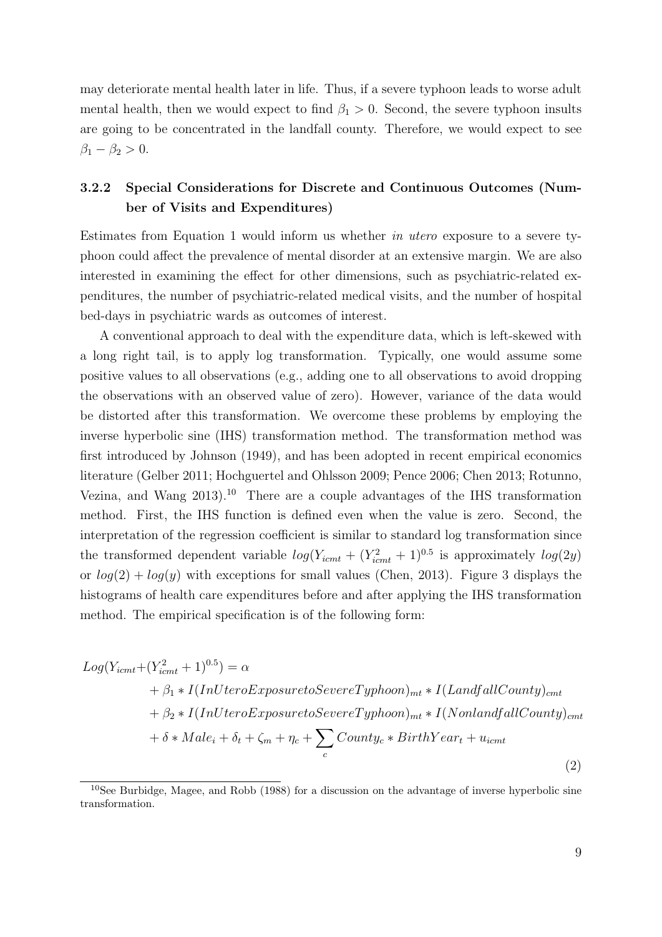may deteriorate mental health later in life. Thus, if a severe typhoon leads to worse adult mental health, then we would expect to find  $\beta_1 > 0$ . Second, the severe typhoon insults are going to be concentrated in the landfall county. Therefore, we would expect to see  $\beta_1 - \beta_2 > 0.$ 

# 3.2.2 Special Considerations for Discrete and Continuous Outcomes (Number of Visits and Expenditures)

Estimates from Equation [1](#page-8-1) would inform us whether in utero exposure to a severe typhoon could affect the prevalence of mental disorder at an extensive margin. We are also interested in examining the effect for other dimensions, such as psychiatric-related expenditures, the number of psychiatric-related medical visits, and the number of hospital bed-days in psychiatric wards as outcomes of interest.

A conventional approach to deal with the expenditure data, which is left-skewed with a long right tail, is to apply log transformation. Typically, one would assume some positive values to all observations (e.g., adding one to all observations to avoid dropping the observations with an observed value of zero). However, variance of the data would be distorted after this transformation. We overcome these problems by employing the inverse hyperbolic sine (IHS) transformation method. The transformation method was first introduced by [Johnson](#page-19-5) [\(1949\)](#page-19-5), and has been adopted in recent empirical economics literature [\(Gelber 2011;](#page-19-6) [Hochguertel and Ohlsson 2009;](#page-19-7) [Pence 2006;](#page-21-8) [Chen 2013;](#page-18-9) [Rotunno,](#page-21-9) Vezina, and Wang  $2013$ .<sup>[10](#page-9-0)</sup> There are a couple advantages of the IHS transformation method. First, the IHS function is defined even when the value is zero. Second, the interpretation of the regression coefficient is similar to standard log transformation since the transformed dependent variable  $log(Y_{icmt} + (Y_{icmt}^2 + 1)^{0.5}$  is approximately  $log(2y)$ or  $log(2) + log(y)$  with exceptions for small values [\(Chen, 2013\)](#page-18-9). Figure [3](#page-25-0) displays the histograms of health care expenditures before and after applying the IHS transformation method. The empirical specification is of the following form:

<span id="page-9-1"></span>
$$
Log(Y_{icmt} + (Y_{icmt}^2 + 1)^{0.5}) = \alpha
$$
  
+  $\beta_1 * I(IndteroExposuretoSevereTyphoon)_{mt} * I(LandfallCountry)_{cmt}$   
+  $\beta_2 * I(IndteroExposuretoSevereTyphoon)_{mt} * I(NonlandfallCountry)_{cmt}$   
+  $\delta * Male_i + \delta_t + \zeta_m + \eta_c + \sum_c County_c * BirthYear_t + u_{icmt}$  (2)

<span id="page-9-0"></span><sup>&</sup>lt;sup>10</sup>See [Burbidge, Magee, and Robb](#page-17-5) [\(1988\)](#page-17-5) for a discussion on the advantage of inverse hyperbolic sine transformation.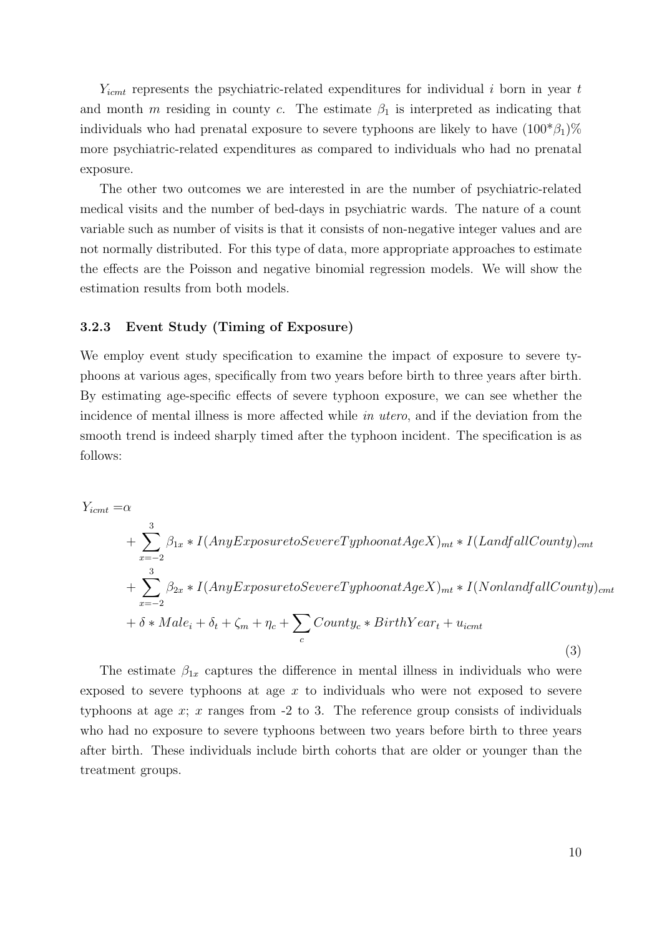$Y_{i\text{cmt}}$  represents the psychiatric-related expenditures for individual i born in year t and month m residing in county c. The estimate  $\beta_1$  is interpreted as indicating that individuals who had prenatal exposure to severe typhoons are likely to have  $(100^* \beta_1) \%$ more psychiatric-related expenditures as compared to individuals who had no prenatal exposure.

The other two outcomes we are interested in are the number of psychiatric-related medical visits and the number of bed-days in psychiatric wards. The nature of a count variable such as number of visits is that it consists of non-negative integer values and are not normally distributed. For this type of data, more appropriate approaches to estimate the effects are the Poisson and negative binomial regression models. We will show the estimation results from both models.

#### 3.2.3 Event Study (Timing of Exposure)

We employ event study specification to examine the impact of exposure to severe typhoons at various ages, specifically from two years before birth to three years after birth. By estimating age-specific effects of severe typhoon exposure, we can see whether the incidence of mental illness is more affected while in utero, and if the deviation from the smooth trend is indeed sharply timed after the typhoon incident. The specification is as follows:

<span id="page-10-0"></span>
$$
Y_{icmt} = \alpha
$$
  
+  $\sum_{x=-2}^{3} \beta_{1x} * I(Any Exposure to Severer Typhoonat AgeX)_{mt} * I(LandfallCountry)_{cmt}$   
+  $\sum_{x=-2}^{3} \beta_{2x} * I(Any Exposure to Severer Typhoonat AgeX)_{mt} * I(NonlandfallCountry)_{cmt}$   
+  $\delta * Male_i + \delta_t + \zeta_m + \eta_c + \sum_c County_c * BirthYear_t + u_{icmt}$   
(3)

The estimate  $\beta_{1x}$  captures the difference in mental illness in individuals who were exposed to severe typhoons at age  $x$  to individuals who were not exposed to severe typhoons at age  $x$ ;  $x$  ranges from  $-2$  to 3. The reference group consists of individuals who had no exposure to severe typhoons between two years before birth to three years after birth. These individuals include birth cohorts that are older or younger than the treatment groups.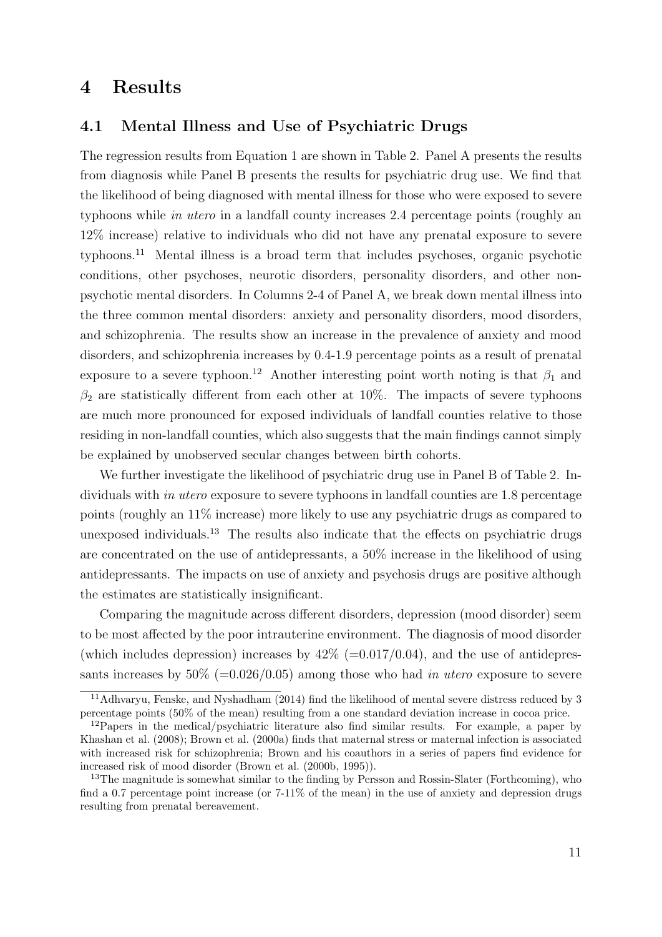# 4 Results

#### 4.1 Mental Illness and Use of Psychiatric Drugs

The regression results from Equation [1](#page-8-1) are shown in Table [2.](#page-29-0) Panel A presents the results from diagnosis while Panel B presents the results for psychiatric drug use. We find that the likelihood of being diagnosed with mental illness for those who were exposed to severe typhoons while in utero in a landfall county increases 2.4 percentage points (roughly an 12% increase) relative to individuals who did not have any prenatal exposure to severe typhoons.[11](#page-11-0) Mental illness is a broad term that includes psychoses, organic psychotic conditions, other psychoses, neurotic disorders, personality disorders, and other nonpsychotic mental disorders. In Columns 2-4 of Panel A, we break down mental illness into the three common mental disorders: anxiety and personality disorders, mood disorders, and schizophrenia. The results show an increase in the prevalence of anxiety and mood disorders, and schizophrenia increases by 0.4-1.9 percentage points as a result of prenatal exposure to a severe typhoon.<sup>[12](#page-11-1)</sup> Another interesting point worth noting is that  $\beta_1$  and  $\beta_2$  are statistically different from each other at 10%. The impacts of severe typhoons are much more pronounced for exposed individuals of landfall counties relative to those residing in non-landfall counties, which also suggests that the main findings cannot simply be explained by unobserved secular changes between birth cohorts.

We further investigate the likelihood of psychiatric drug use in Panel B of Table [2.](#page-29-0) Individuals with *in utero* exposure to severe typhoons in landfall counties are 1.8 percentage points (roughly an 11% increase) more likely to use any psychiatric drugs as compared to unexposed individuals.<sup>[13](#page-11-2)</sup> The results also indicate that the effects on psychiatric drugs are concentrated on the use of antidepressants, a 50% increase in the likelihood of using antidepressants. The impacts on use of anxiety and psychosis drugs are positive although the estimates are statistically insignificant.

Comparing the magnitude across different disorders, depression (mood disorder) seem to be most affected by the poor intrauterine environment. The diagnosis of mood disorder (which includes depression) increases by  $42\%$  (=0.017/0.04), and the use of antidepressants increases by  $50\%$  (=0.026/0.05) among those who had in utero exposure to severe

<span id="page-11-0"></span><sup>11</sup>[Adhvaryu, Fenske, and Nyshadham](#page-16-2) [\(2014\)](#page-16-2) find the likelihood of mental severe distress reduced by 3 percentage points (50% of the mean) resulting from a one standard deviation increase in cocoa price.

<span id="page-11-1"></span> $12P$ apers in the medical/psychiatric literature also find similar results. For example, a paper by [Khashan et al.](#page-19-8) [\(2008\)](#page-19-8); [Brown et al.](#page-17-6) [\(2000a\)](#page-17-6) finds that maternal stress or maternal infection is associated with increased risk for schizophrenia; Brown and his coauthors in a series of papers find evidence for increased risk of mood disorder [\(Brown et al.](#page-17-7) [\(2000b,](#page-17-7) [1995\)](#page-17-8)).

<span id="page-11-2"></span><sup>&</sup>lt;sup>13</sup>The magnitude is somewhat similar to the finding by [Persson and Rossin-Slater](#page-21-3) [\(Forthcoming\)](#page-21-3), who find a 0.7 percentage point increase (or 7-11% of the mean) in the use of anxiety and depression drugs resulting from prenatal bereavement.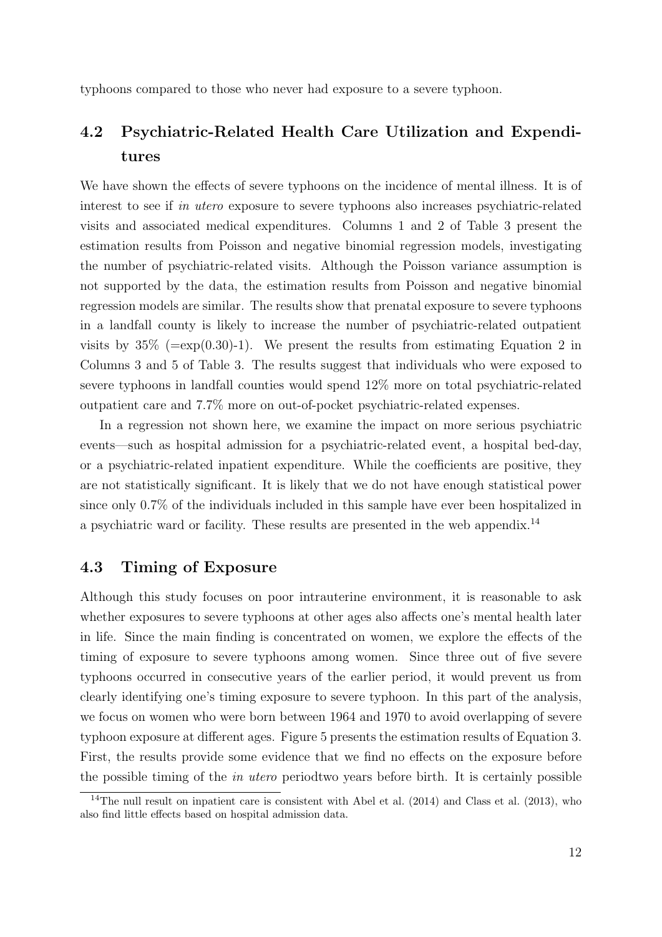typhoons compared to those who never had exposure to a severe typhoon.

# 4.2 Psychiatric-Related Health Care Utilization and Expenditures

We have shown the effects of severe typhoons on the incidence of mental illness. It is of interest to see if in utero exposure to severe typhoons also increases psychiatric-related visits and associated medical expenditures. Columns 1 and 2 of Table [3](#page-30-0) present the estimation results from Poisson and negative binomial regression models, investigating the number of psychiatric-related visits. Although the Poisson variance assumption is not supported by the data, the estimation results from Poisson and negative binomial regression models are similar. The results show that prenatal exposure to severe typhoons in a landfall county is likely to increase the number of psychiatric-related outpatient visits by  $35\%$  (=exp(0.30)-1). We present the results from estimating Equation [2](#page-9-1) in Columns 3 and 5 of Table [3.](#page-30-0) The results suggest that individuals who were exposed to severe typhoons in landfall counties would spend 12% more on total psychiatric-related outpatient care and 7.7% more on out-of-pocket psychiatric-related expenses.

In a regression not shown here, we examine the impact on more serious psychiatric events—such as hospital admission for a psychiatric-related event, a hospital bed-day, or a psychiatric-related inpatient expenditure. While the coefficients are positive, they are not statistically significant. It is likely that we do not have enough statistical power since only 0.7% of the individuals included in this sample have ever been hospitalized in a psychiatric ward or facility. These results are presented in the web appendix.[14](#page-12-0)

#### 4.3 Timing of Exposure

Although this study focuses on poor intrauterine environment, it is reasonable to ask whether exposures to severe typhoons at other ages also affects one's mental health later in life. Since the main finding is concentrated on women, we explore the effects of the timing of exposure to severe typhoons among women. Since three out of five severe typhoons occurred in consecutive years of the earlier period, it would prevent us from clearly identifying one's timing exposure to severe typhoon. In this part of the analysis, we focus on women who were born between 1964 and 1970 to avoid overlapping of severe typhoon exposure at different ages. Figure [5](#page-27-0) presents the estimation results of Equation [3.](#page-10-0) First, the results provide some evidence that we find no effects on the exposure before the possible timing of the in utero periodtwo years before birth. It is certainly possible

<span id="page-12-0"></span><sup>&</sup>lt;sup>14</sup>The null result on inpatient care is consistent with [Abel et al.](#page-16-1)  $(2014)$  and [Class et al.](#page-18-3)  $(2013)$ , who also find little effects based on hospital admission data.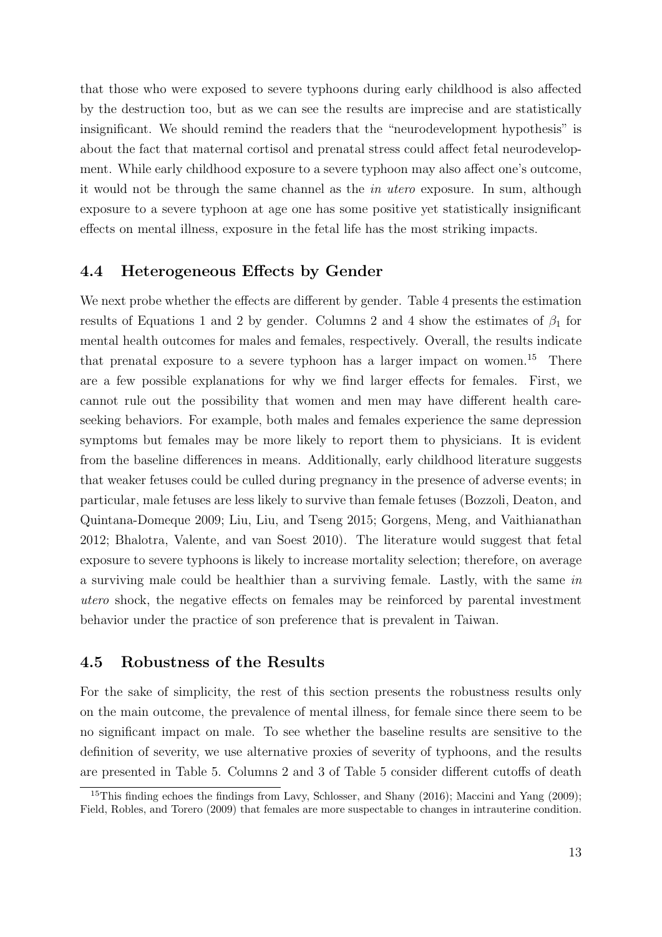that those who were exposed to severe typhoons during early childhood is also affected by the destruction too, but as we can see the results are imprecise and are statistically insignificant. We should remind the readers that the "neurodevelopment hypothesis" is about the fact that maternal cortisol and prenatal stress could affect fetal neurodevelopment. While early childhood exposure to a severe typhoon may also affect one's outcome, it would not be through the same channel as the in utero exposure. In sum, although exposure to a severe typhoon at age one has some positive yet statistically insignificant effects on mental illness, exposure in the fetal life has the most striking impacts.

#### 4.4 Heterogeneous Effects by Gender

We next probe whether the effects are different by gender. Table [4](#page-31-0) presents the estimation results of Equations 1 and 2 by gender. Columns 2 and 4 show the estimates of  $\beta_1$  for mental health outcomes for males and females, respectively. Overall, the results indicate that prenatal exposure to a severe typhoon has a larger impact on women.<sup>[15](#page-13-0)</sup> There are a few possible explanations for why we find larger effects for females. First, we cannot rule out the possibility that women and men may have different health careseeking behaviors. For example, both males and females experience the same depression symptoms but females may be more likely to report them to physicians. It is evident from the baseline differences in means. Additionally, early childhood literature suggests that weaker fetuses could be culled during pregnancy in the presence of adverse events; in particular, male fetuses are less likely to survive than female fetuses [\(Bozzoli, Deaton, and](#page-17-9) [Quintana-Domeque 2009;](#page-17-9) [Liu, Liu, and Tseng 2015;](#page-20-6) [Gorgens, Meng, and Vaithianathan](#page-19-9) [2012;](#page-19-9) [Bhalotra, Valente, and van Soest 2010\)](#page-16-10). The literature would suggest that fetal exposure to severe typhoons is likely to increase mortality selection; therefore, on average a surviving male could be healthier than a surviving female. Lastly, with the same in utero shock, the negative effects on females may be reinforced by parental investment behavior under the practice of son preference that is prevalent in Taiwan.

#### 4.5 Robustness of the Results

For the sake of simplicity, the rest of this section presents the robustness results only on the main outcome, the prevalence of mental illness, for female since there seem to be no significant impact on male. To see whether the baseline results are sensitive to the definition of severity, we use alternative proxies of severity of typhoons, and the results are presented in Table [5.](#page-32-0) Columns 2 and 3 of Table [5](#page-32-0) consider different cutoffs of death

<span id="page-13-0"></span><sup>&</sup>lt;sup>15</sup>This finding echoes the findings from [Lavy, Schlosser, and Shany](#page-20-7) [\(2016\)](#page-20-7); [Maccini and Yang](#page-20-8) [\(2009\)](#page-20-8); [Field, Robles, and Torero](#page-19-10) [\(2009\)](#page-19-10) that females are more suspectable to changes in intrauterine condition.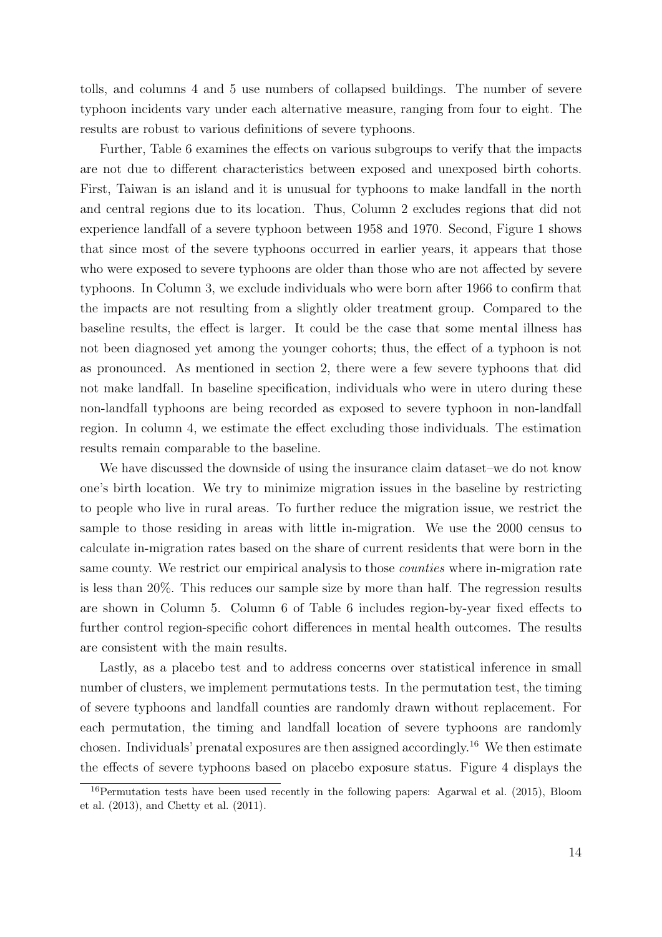tolls, and columns 4 and 5 use numbers of collapsed buildings. The number of severe typhoon incidents vary under each alternative measure, ranging from four to eight. The results are robust to various definitions of severe typhoons.

Further, Table [6](#page-33-0) examines the effects on various subgroups to verify that the impacts are not due to different characteristics between exposed and unexposed birth cohorts. First, Taiwan is an island and it is unusual for typhoons to make landfall in the north and central regions due to its location. Thus, Column 2 excludes regions that did not experience landfall of a severe typhoon between 1958 and 1970. Second, Figure [1](#page-23-0) shows that since most of the severe typhoons occurred in earlier years, it appears that those who were exposed to severe typhoons are older than those who are not affected by severe typhoons. In Column 3, we exclude individuals who were born after 1966 to confirm that the impacts are not resulting from a slightly older treatment group. Compared to the baseline results, the effect is larger. It could be the case that some mental illness has not been diagnosed yet among the younger cohorts; thus, the effect of a typhoon is not as pronounced. As mentioned in section 2, there were a few severe typhoons that did not make landfall. In baseline specification, individuals who were in utero during these non-landfall typhoons are being recorded as exposed to severe typhoon in non-landfall region. In column 4, we estimate the effect excluding those individuals. The estimation results remain comparable to the baseline.

We have discussed the downside of using the insurance claim dataset–we do not know one's birth location. We try to minimize migration issues in the baseline by restricting to people who live in rural areas. To further reduce the migration issue, we restrict the sample to those residing in areas with little in-migration. We use the 2000 census to calculate in-migration rates based on the share of current residents that were born in the same county. We restrict our empirical analysis to those *counties* where in-migration rate is less than 20%. This reduces our sample size by more than half. The regression results are shown in Column 5. Column 6 of Table [6](#page-33-0) includes region-by-year fixed effects to further control region-specific cohort differences in mental health outcomes. The results are consistent with the main results.

Lastly, as a placebo test and to address concerns over statistical inference in small number of clusters, we implement permutations tests. In the permutation test, the timing of severe typhoons and landfall counties are randomly drawn without replacement. For each permutation, the timing and landfall location of severe typhoons are randomly chosen. Individuals' prenatal exposures are then assigned accordingly.[16](#page-14-0) We then estimate the effects of severe typhoons based on placebo exposure status. Figure [4](#page-26-0) displays the

<span id="page-14-0"></span><sup>16</sup>Permutation tests have been used recently in the following papers: [Agarwal et al.](#page-16-11) [\(2015\)](#page-16-11), [Bloom](#page-17-10) [et al.](#page-17-10) [\(2013\)](#page-17-10), and [Chetty et al.](#page-18-10) [\(2011\)](#page-18-10).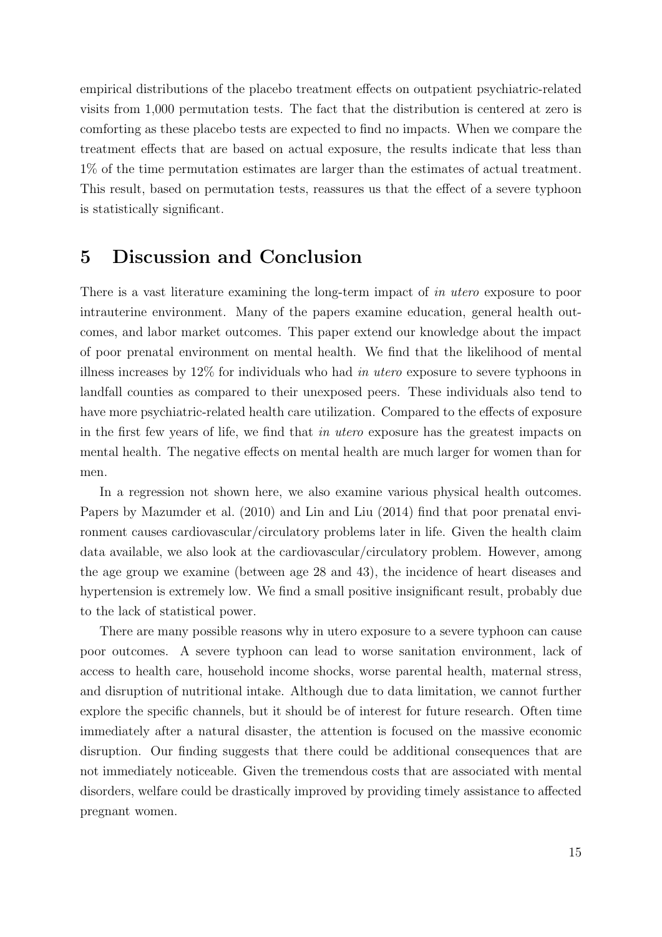empirical distributions of the placebo treatment effects on outpatient psychiatric-related visits from 1,000 permutation tests. The fact that the distribution is centered at zero is comforting as these placebo tests are expected to find no impacts. When we compare the treatment effects that are based on actual exposure, the results indicate that less than 1% of the time permutation estimates are larger than the estimates of actual treatment. This result, based on permutation tests, reassures us that the effect of a severe typhoon is statistically significant.

# 5 Discussion and Conclusion

There is a vast literature examining the long-term impact of in utero exposure to poor intrauterine environment. Many of the papers examine education, general health outcomes, and labor market outcomes. This paper extend our knowledge about the impact of poor prenatal environment on mental health. We find that the likelihood of mental illness increases by 12% for individuals who had in utero exposure to severe typhoons in landfall counties as compared to their unexposed peers. These individuals also tend to have more psychiatric-related health care utilization. Compared to the effects of exposure in the first few years of life, we find that in utero exposure has the greatest impacts on mental health. The negative effects on mental health are much larger for women than for men.

In a regression not shown here, we also examine various physical health outcomes. Papers by [Mazumder et al.](#page-20-9) [\(2010\)](#page-20-9) and [Lin and Liu](#page-20-10) [\(2014\)](#page-20-10) find that poor prenatal environment causes cardiovascular/circulatory problems later in life. Given the health claim data available, we also look at the cardiovascular/circulatory problem. However, among the age group we examine (between age 28 and 43), the incidence of heart diseases and hypertension is extremely low. We find a small positive insignificant result, probably due to the lack of statistical power.

There are many possible reasons why in utero exposure to a severe typhoon can cause poor outcomes. A severe typhoon can lead to worse sanitation environment, lack of access to health care, household income shocks, worse parental health, maternal stress, and disruption of nutritional intake. Although due to data limitation, we cannot further explore the specific channels, but it should be of interest for future research. Often time immediately after a natural disaster, the attention is focused on the massive economic disruption. Our finding suggests that there could be additional consequences that are not immediately noticeable. Given the tremendous costs that are associated with mental disorders, welfare could be drastically improved by providing timely assistance to affected pregnant women.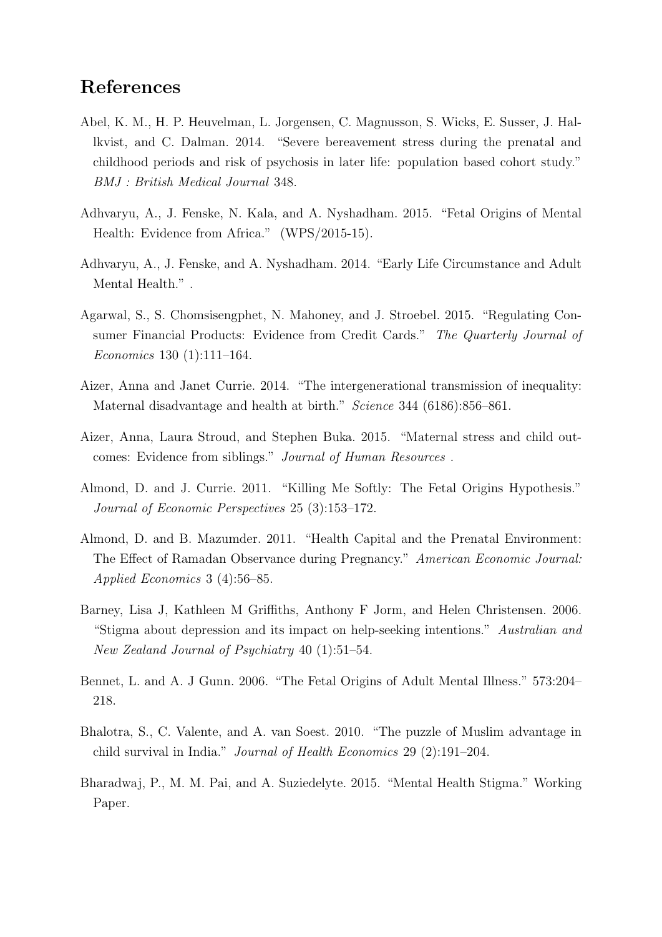# References

- <span id="page-16-1"></span>Abel, K. M., H. P. Heuvelman, L. Jorgensen, C. Magnusson, S. Wicks, E. Susser, J. Hallkvist, and C. Dalman. 2014. "Severe bereavement stress during the prenatal and childhood periods and risk of psychosis in later life: population based cohort study." BMJ : British Medical Journal 348.
- <span id="page-16-3"></span>Adhvaryu, A., J. Fenske, N. Kala, and A. Nyshadham. 2015. "Fetal Origins of Mental Health: Evidence from Africa." (WPS/2015-15).
- <span id="page-16-2"></span>Adhvaryu, A., J. Fenske, and A. Nyshadham. 2014. "Early Life Circumstance and Adult Mental Health." .
- <span id="page-16-11"></span>Agarwal, S., S. Chomsisengphet, N. Mahoney, and J. Stroebel. 2015. "Regulating Consumer Financial Products: Evidence from Credit Cards." The Quarterly Journal of Economics 130 (1):111–164.
- <span id="page-16-8"></span>Aizer, Anna and Janet Currie. 2014. "The intergenerational transmission of inequality: Maternal disadvantage and health at birth." Science 344 (6186):856–861.
- <span id="page-16-9"></span>Aizer, Anna, Laura Stroud, and Stephen Buka. 2015. "Maternal stress and child outcomes: Evidence from siblings." Journal of Human Resources .
- <span id="page-16-7"></span>Almond, D. and J. Currie. 2011. "Killing Me Softly: The Fetal Origins Hypothesis." Journal of Economic Perspectives 25 (3):153–172.
- <span id="page-16-4"></span>Almond, D. and B. Mazumder. 2011. "Health Capital and the Prenatal Environment: The Effect of Ramadan Observance during Pregnancy." American Economic Journal: Applied Economics 3 (4):56–85.
- <span id="page-16-6"></span>Barney, Lisa J, Kathleen M Griffiths, Anthony F Jorm, and Helen Christensen. 2006. "Stigma about depression and its impact on help-seeking intentions." Australian and New Zealand Journal of Psychiatry 40 (1):51–54.
- <span id="page-16-0"></span>Bennet, L. and A. J Gunn. 2006. "The Fetal Origins of Adult Mental Illness." 573:204– 218.
- <span id="page-16-10"></span>Bhalotra, S., C. Valente, and A. van Soest. 2010. "The puzzle of Muslim advantage in child survival in India." Journal of Health Economics 29 (2):191–204.
- <span id="page-16-5"></span>Bharadwaj, P., M. M. Pai, and A. Suziedelyte. 2015. "Mental Health Stigma." Working Paper.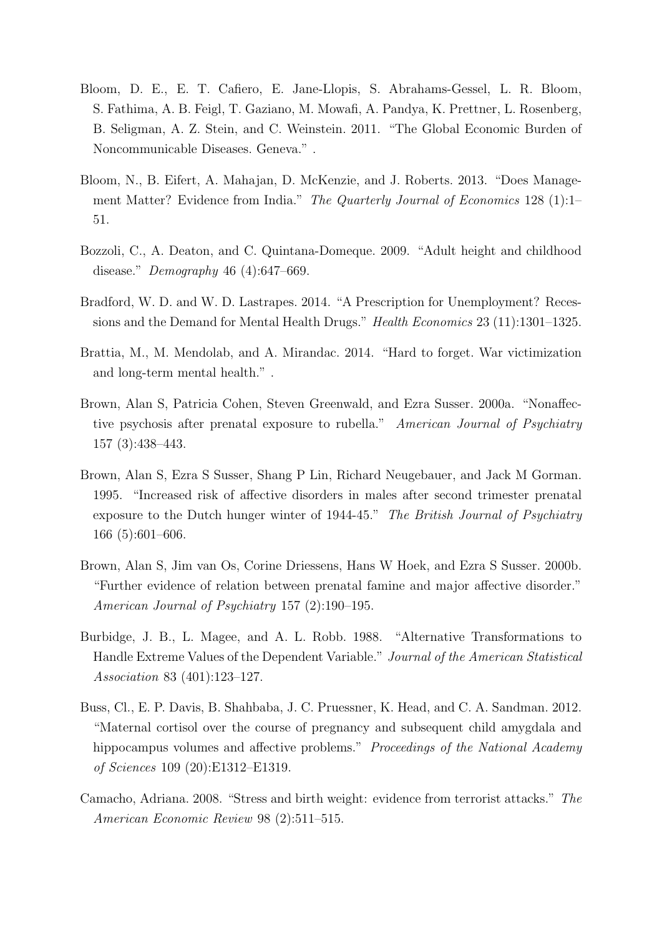- <span id="page-17-0"></span>Bloom, D. E., E. T. Cafiero, E. Jane-Llopis, S. Abrahams-Gessel, L. R. Bloom, S. Fathima, A. B. Feigl, T. Gaziano, M. Mowafi, A. Pandya, K. Prettner, L. Rosenberg, B. Seligman, A. Z. Stein, and C. Weinstein. 2011. "The Global Economic Burden of Noncommunicable Diseases. Geneva." .
- <span id="page-17-10"></span>Bloom, N., B. Eifert, A. Mahajan, D. McKenzie, and J. Roberts. 2013. "Does Management Matter? Evidence from India." The Quarterly Journal of Economics 128 (1):1– 51.
- <span id="page-17-9"></span>Bozzoli, C., A. Deaton, and C. Quintana-Domeque. 2009. "Adult height and childhood disease." Demography 46 (4):647–669.
- <span id="page-17-2"></span>Bradford, W. D. and W. D. Lastrapes. 2014. "A Prescription for Unemployment? Recessions and the Demand for Mental Health Drugs." Health Economics 23 (11):1301–1325.
- <span id="page-17-1"></span>Brattia, M., M. Mendolab, and A. Mirandac. 2014. "Hard to forget. War victimization and long-term mental health." .
- <span id="page-17-6"></span>Brown, Alan S, Patricia Cohen, Steven Greenwald, and Ezra Susser. 2000a. "Nonaffective psychosis after prenatal exposure to rubella." American Journal of Psychiatry 157 (3):438–443.
- <span id="page-17-8"></span>Brown, Alan S, Ezra S Susser, Shang P Lin, Richard Neugebauer, and Jack M Gorman. 1995. "Increased risk of affective disorders in males after second trimester prenatal exposure to the Dutch hunger winter of 1944-45." The British Journal of Psychiatry 166 (5):601–606.
- <span id="page-17-7"></span>Brown, Alan S, Jim van Os, Corine Driessens, Hans W Hoek, and Ezra S Susser. 2000b. "Further evidence of relation between prenatal famine and major affective disorder." American Journal of Psychiatry 157 (2):190–195.
- <span id="page-17-5"></span>Burbidge, J. B., L. Magee, and A. L. Robb. 1988. "Alternative Transformations to Handle Extreme Values of the Dependent Variable." Journal of the American Statistical Association 83 (401):123–127.
- <span id="page-17-3"></span>Buss, Cl., E. P. Davis, B. Shahbaba, J. C. Pruessner, K. Head, and C. A. Sandman. 2012. "Maternal cortisol over the course of pregnancy and subsequent child amygdala and hippocampus volumes and affective problems." Proceedings of the National Academy of Sciences 109 (20):E1312–E1319.
- <span id="page-17-4"></span>Camacho, Adriana. 2008. "Stress and birth weight: evidence from terrorist attacks." The American Economic Review 98 (2):511–515.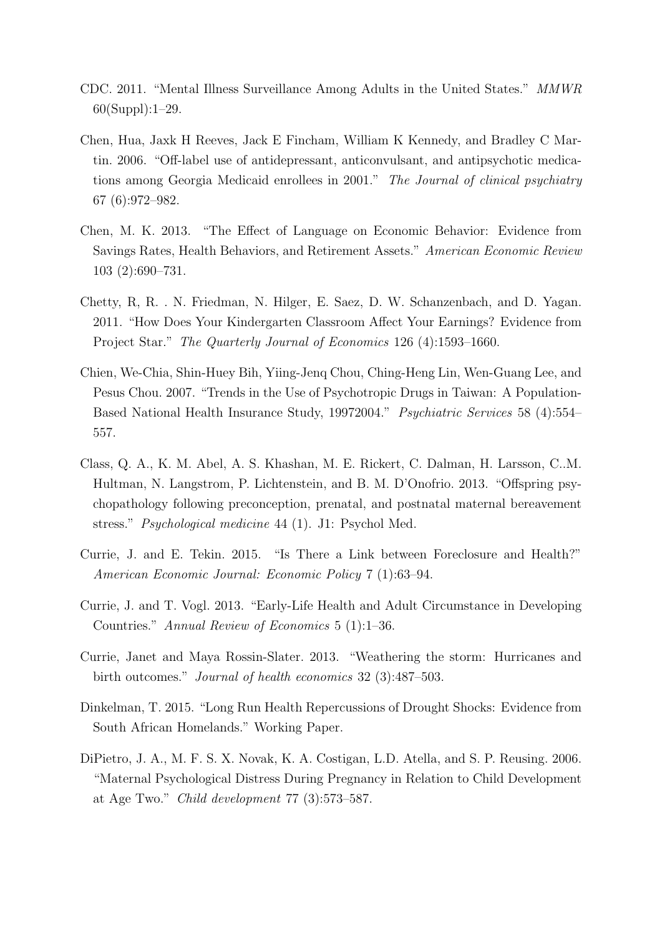- <span id="page-18-0"></span>CDC. 2011. "Mental Illness Surveillance Among Adults in the United States." MMWR 60(Suppl):1–29.
- <span id="page-18-5"></span>Chen, Hua, Jaxk H Reeves, Jack E Fincham, William K Kennedy, and Bradley C Martin. 2006. "Off-label use of antidepressant, anticonvulsant, and antipsychotic medications among Georgia Medicaid enrollees in 2001." The Journal of clinical psychiatry 67 (6):972–982.
- <span id="page-18-9"></span>Chen, M. K. 2013. "The Effect of Language on Economic Behavior: Evidence from Savings Rates, Health Behaviors, and Retirement Assets." American Economic Review 103 (2):690–731.
- <span id="page-18-10"></span>Chetty, R, R. . N. Friedman, N. Hilger, E. Saez, D. W. Schanzenbach, and D. Yagan. 2011. "How Does Your Kindergarten Classroom Affect Your Earnings? Evidence from Project Star." The Quarterly Journal of Economics 126 (4):1593-1660.
- <span id="page-18-6"></span>Chien, We-Chia, Shin-Huey Bih, Yiing-Jenq Chou, Ching-Heng Lin, Wen-Guang Lee, and Pesus Chou. 2007. "Trends in the Use of Psychotropic Drugs in Taiwan: A Population-Based National Health Insurance Study, 19972004." Psychiatric Services 58 (4):554– 557.
- <span id="page-18-3"></span>Class, Q. A., K. M. Abel, A. S. Khashan, M. E. Rickert, C. Dalman, H. Larsson, C..M. Hultman, N. Langstrom, P. Lichtenstein, and B. M. D'Onofrio. 2013. "Offspring psychopathology following preconception, prenatal, and postnatal maternal bereavement stress." Psychological medicine 44 (1). J1: Psychol Med.
- <span id="page-18-1"></span>Currie, J. and E. Tekin. 2015. "Is There a Link between Foreclosure and Health?" American Economic Journal: Economic Policy 7 (1):63–94.
- <span id="page-18-7"></span>Currie, J. and T. Vogl. 2013. "Early-Life Health and Adult Circumstance in Developing Countries." Annual Review of Economics 5 (1):1–36.
- <span id="page-18-8"></span>Currie, Janet and Maya Rossin-Slater. 2013. "Weathering the storm: Hurricanes and birth outcomes." Journal of health economics 32 (3):487–503.
- <span id="page-18-4"></span>Dinkelman, T. 2015. "Long Run Health Repercussions of Drought Shocks: Evidence from South African Homelands." Working Paper.
- <span id="page-18-2"></span>DiPietro, J. A., M. F. S. X. Novak, K. A. Costigan, L.D. Atella, and S. P. Reusing. 2006. "Maternal Psychological Distress During Pregnancy in Relation to Child Development at Age Two." Child development 77 (3):573–587.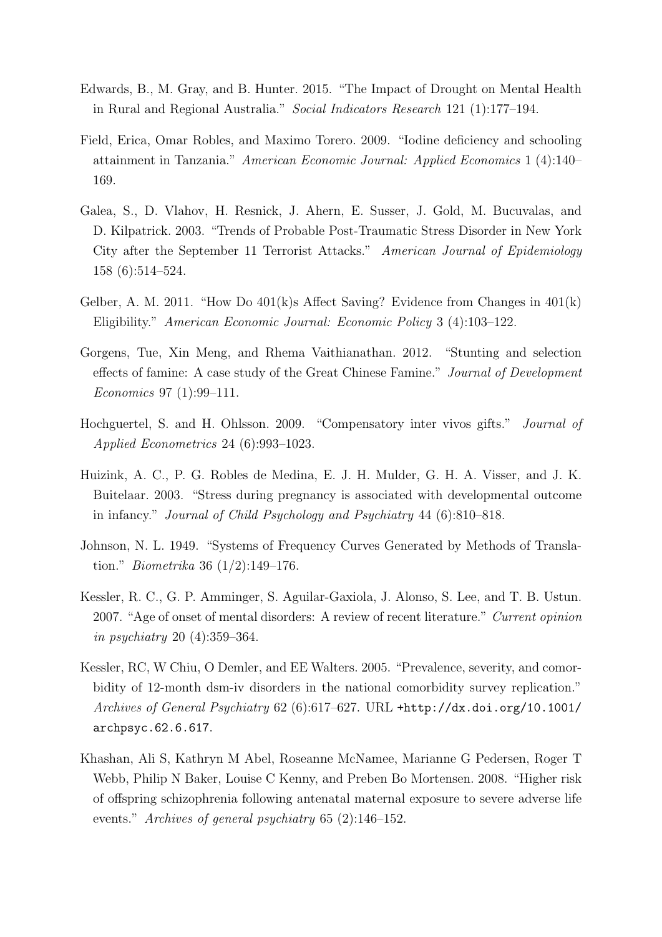- <span id="page-19-0"></span>Edwards, B., M. Gray, and B. Hunter. 2015. "The Impact of Drought on Mental Health in Rural and Regional Australia." Social Indicators Research 121 (1):177–194.
- <span id="page-19-10"></span>Field, Erica, Omar Robles, and Maximo Torero. 2009. "Iodine deficiency and schooling attainment in Tanzania." American Economic Journal: Applied Economics 1 (4):140– 169.
- <span id="page-19-1"></span>Galea, S., D. Vlahov, H. Resnick, J. Ahern, E. Susser, J. Gold, M. Bucuvalas, and D. Kilpatrick. 2003. "Trends of Probable Post-Traumatic Stress Disorder in New York City after the September 11 Terrorist Attacks." American Journal of Epidemiology 158 (6):514–524.
- <span id="page-19-6"></span>Gelber, A. M. 2011. "How Do 401(k)s Affect Saving? Evidence from Changes in 401(k) Eligibility." American Economic Journal: Economic Policy 3 (4):103–122.
- <span id="page-19-9"></span>Gorgens, Tue, Xin Meng, and Rhema Vaithianathan. 2012. "Stunting and selection effects of famine: A case study of the Great Chinese Famine." Journal of Development Economics 97 (1):99–111.
- <span id="page-19-7"></span>Hochguertel, S. and H. Ohlsson. 2009. "Compensatory inter vivos gifts." Journal of Applied Econometrics 24 (6):993–1023.
- <span id="page-19-2"></span>Huizink, A. C., P. G. Robles de Medina, E. J. H. Mulder, G. H. A. Visser, and J. K. Buitelaar. 2003. "Stress during pregnancy is associated with developmental outcome in infancy." Journal of Child Psychology and Psychiatry 44 (6):810–818.
- <span id="page-19-5"></span>Johnson, N. L. 1949. "Systems of Frequency Curves Generated by Methods of Translation." Biometrika 36 (1/2):149–176.
- <span id="page-19-4"></span>Kessler, R. C., G. P. Amminger, S. Aguilar-Gaxiola, J. Alonso, S. Lee, and T. B. Ustun. 2007. "Age of onset of mental disorders: A review of recent literature." Current opinion in psychiatry 20 (4):359–364.
- <span id="page-19-3"></span>Kessler, RC, W Chiu, O Demler, and EE Walters. 2005. "Prevalence, severity, and comorbidity of 12-month dsm-iv disorders in the national comorbidity survey replication." Archives of General Psychiatry 62 (6):617–627. URL [+http://dx.doi.org/10.1001/](+ http://dx.doi.org/10.1001/archpsyc.62.6.617) [archpsyc.62.6.617](+ http://dx.doi.org/10.1001/archpsyc.62.6.617).
- <span id="page-19-8"></span>Khashan, Ali S, Kathryn M Abel, Roseanne McNamee, Marianne G Pedersen, Roger T Webb, Philip N Baker, Louise C Kenny, and Preben Bo Mortensen. 2008. "Higher risk of offspring schizophrenia following antenatal maternal exposure to severe adverse life events." Archives of general psychiatry 65 (2):146–152.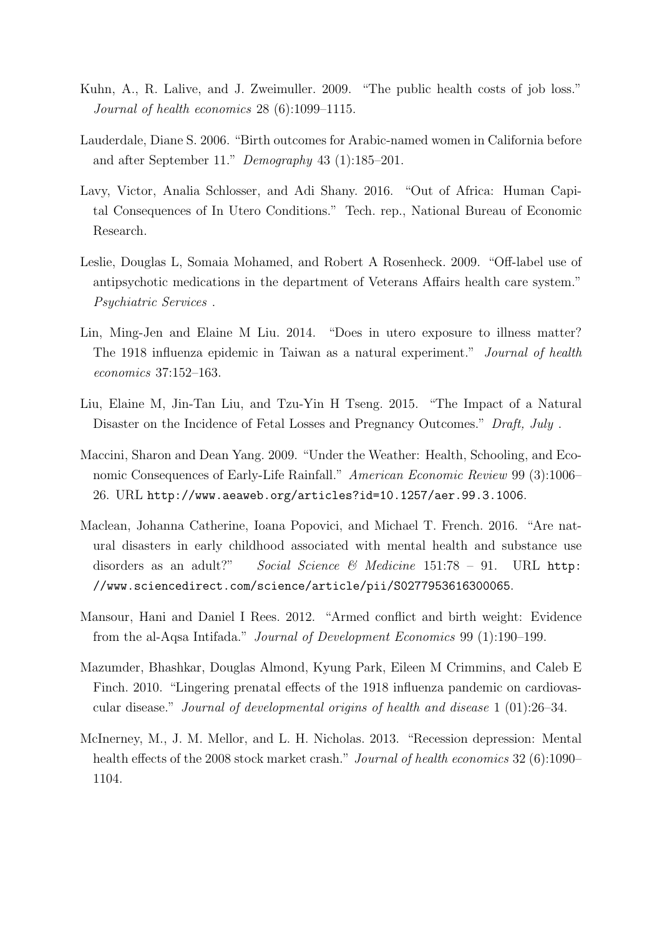- <span id="page-20-0"></span>Kuhn, A., R. Lalive, and J. Zweimuller. 2009. "The public health costs of job loss." Journal of health economics 28 (6):1099–1115.
- <span id="page-20-4"></span>Lauderdale, Diane S. 2006. "Birth outcomes for Arabic-named women in California before and after September 11." Demography 43 (1):185–201.
- <span id="page-20-7"></span>Lavy, Victor, Analia Schlosser, and Adi Shany. 2016. "Out of Africa: Human Capital Consequences of In Utero Conditions." Tech. rep., National Bureau of Economic Research.
- <span id="page-20-3"></span>Leslie, Douglas L, Somaia Mohamed, and Robert A Rosenheck. 2009. "Off-label use of antipsychotic medications in the department of Veterans Affairs health care system." Psychiatric Services .
- <span id="page-20-10"></span>Lin, Ming-Jen and Elaine M Liu. 2014. "Does in utero exposure to illness matter? The 1918 influenza epidemic in Taiwan as a natural experiment." Journal of health economics 37:152–163.
- <span id="page-20-6"></span>Liu, Elaine M, Jin-Tan Liu, and Tzu-Yin H Tseng. 2015. "The Impact of a Natural Disaster on the Incidence of Fetal Losses and Pregnancy Outcomes." Draft, July.
- <span id="page-20-8"></span>Maccini, Sharon and Dean Yang. 2009. "Under the Weather: Health, Schooling, and Economic Consequences of Early-Life Rainfall." American Economic Review 99 (3):1006– 26. URL <http://www.aeaweb.org/articles?id=10.1257/aer.99.3.1006>.
- <span id="page-20-2"></span>Maclean, Johanna Catherine, Ioana Popovici, and Michael T. French. 2016. "Are natural disasters in early childhood associated with mental health and substance use disorders as an adult?" Social Science & Medicine 151:78 - 91. URL [http:](http://www.sciencedirect.com/science/article/pii/S0277953616300065) [//www.sciencedirect.com/science/article/pii/S0277953616300065](http://www.sciencedirect.com/science/article/pii/S0277953616300065).
- <span id="page-20-5"></span>Mansour, Hani and Daniel I Rees. 2012. "Armed conflict and birth weight: Evidence from the al-Aqsa Intifada." Journal of Development Economics 99 (1):190–199.
- <span id="page-20-9"></span>Mazumder, Bhashkar, Douglas Almond, Kyung Park, Eileen M Crimmins, and Caleb E Finch. 2010. "Lingering prenatal effects of the 1918 influenza pandemic on cardiovascular disease." Journal of developmental origins of health and disease 1 (01):26–34.
- <span id="page-20-1"></span>McInerney, M., J. M. Mellor, and L. H. Nicholas. 2013. "Recession depression: Mental health effects of the 2008 stock market crash." Journal of health economics 32 (6):1090– 1104.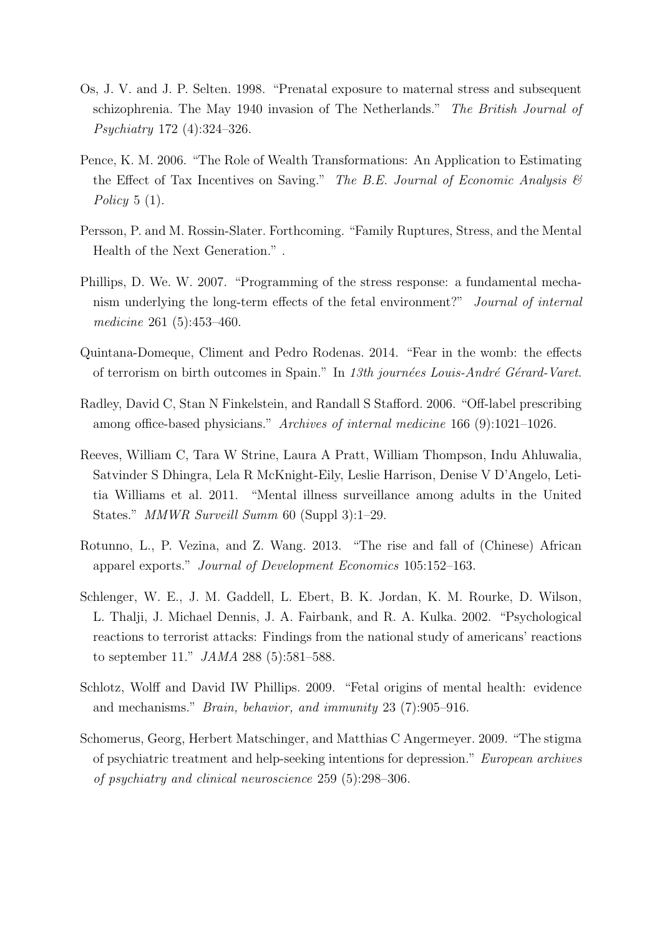- <span id="page-21-4"></span>Os, J. V. and J. P. Selten. 1998. "Prenatal exposure to maternal stress and subsequent schizophrenia. The May 1940 invasion of The Netherlands." The British Journal of Psychiatry 172 (4):324–326.
- <span id="page-21-8"></span>Pence, K. M. 2006. "The Role of Wealth Transformations: An Application to Estimating the Effect of Tax Incentives on Saving." The B.E. Journal of Economic Analysis  $\mathcal{B}$ Policy  $5(1)$ .
- <span id="page-21-3"></span>Persson, P. and M. Rossin-Slater. Forthcoming. "Family Ruptures, Stress, and the Mental Health of the Next Generation." .
- <span id="page-21-1"></span>Phillips, D. We. W. 2007. "Programming of the stress response: a fundamental mechanism underlying the long-term effects of the fetal environment?" Journal of internal medicine 261 (5):453–460.
- <span id="page-21-7"></span>Quintana-Domeque, Climent and Pedro Rodenas. 2014. "Fear in the womb: the effects of terrorism on birth outcomes in Spain." In 13th journées Louis-André Gérard-Varet.
- <span id="page-21-5"></span>Radley, David C, Stan N Finkelstein, and Randall S Stafford. 2006. "Off-label prescribing among office-based physicians." Archives of internal medicine 166 (9):1021–1026.
- <span id="page-21-10"></span>Reeves, William C, Tara W Strine, Laura A Pratt, William Thompson, Indu Ahluwalia, Satvinder S Dhingra, Lela R McKnight-Eily, Leslie Harrison, Denise V D'Angelo, Letitia Williams et al. 2011. "Mental illness surveillance among adults in the United States." MMWR Surveill Summ 60 (Suppl 3):1–29.
- <span id="page-21-9"></span>Rotunno, L., P. Vezina, and Z. Wang. 2013. "The rise and fall of (Chinese) African apparel exports." Journal of Development Economics 105:152–163.
- <span id="page-21-0"></span>Schlenger, W. E., J. M. Gaddell, L. Ebert, B. K. Jordan, K. M. Rourke, D. Wilson, L. Thalji, J. Michael Dennis, J. A. Fairbank, and R. A. Kulka. 2002. "Psychological reactions to terrorist attacks: Findings from the national study of americans' reactions to september 11." JAMA 288 (5):581–588.
- <span id="page-21-2"></span>Schlotz, Wolff and David IW Phillips. 2009. "Fetal origins of mental health: evidence and mechanisms." Brain, behavior, and immunity 23 (7):905–916.
- <span id="page-21-6"></span>Schomerus, Georg, Herbert Matschinger, and Matthias C Angermeyer. 2009. "The stigma of psychiatric treatment and help-seeking intentions for depression." European archives of psychiatry and clinical neuroscience 259 (5):298–306.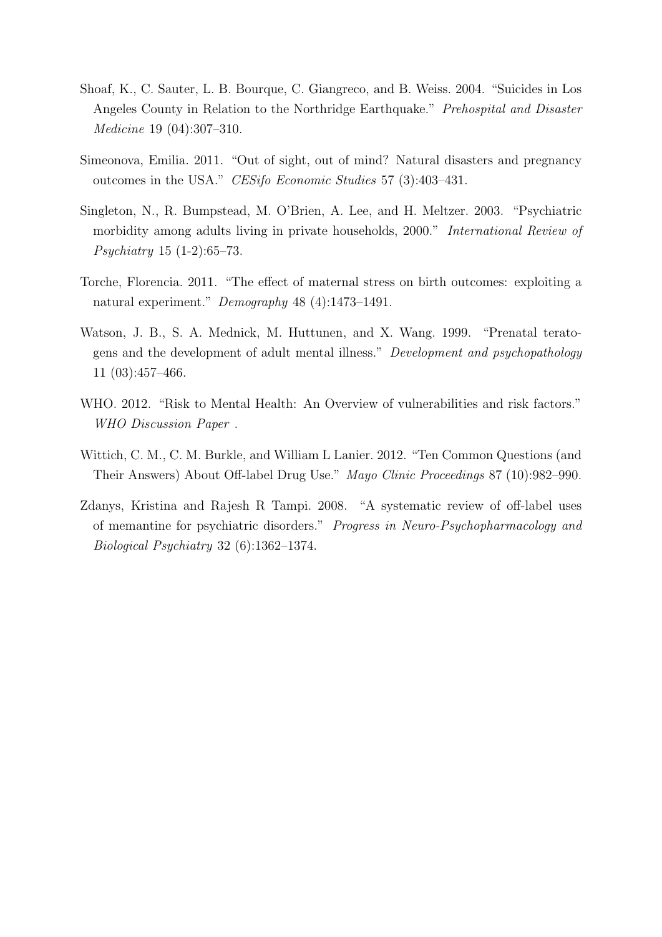- <span id="page-22-1"></span>Shoaf, K., C. Sauter, L. B. Bourque, C. Giangreco, and B. Weiss. 2004. "Suicides in Los Angeles County in Relation to the Northridge Earthquake." Prehospital and Disaster Medicine 19 (04):307–310.
- <span id="page-22-5"></span>Simeonova, Emilia. 2011. "Out of sight, out of mind? Natural disasters and pregnancy outcomes in the USA." CESifo Economic Studies 57 (3):403–431.
- <span id="page-22-6"></span>Singleton, N., R. Bumpstead, M. O'Brien, A. Lee, and H. Meltzer. 2003. "Psychiatric morbidity among adults living in private households, 2000." International Review of Psychiatry 15 (1-2):65–73.
- <span id="page-22-7"></span>Torche, Florencia. 2011. "The effect of maternal stress on birth outcomes: exploiting a natural experiment." Demography 48 (4):1473–1491.
- <span id="page-22-2"></span>Watson, J. B., S. A. Mednick, M. Huttunen, and X. Wang. 1999. "Prenatal teratogens and the development of adult mental illness." Development and psychopathology 11 (03):457–466.
- <span id="page-22-0"></span>WHO. 2012. "Risk to Mental Health: An Overview of vulnerabilities and risk factors." WHO Discussion Paper .
- <span id="page-22-3"></span>Wittich, C. M., C. M. Burkle, and William L Lanier. 2012. "Ten Common Questions (and Their Answers) About Off-label Drug Use." Mayo Clinic Proceedings 87 (10):982–990.
- <span id="page-22-4"></span>Zdanys, Kristina and Rajesh R Tampi. 2008. "A systematic review of off-label uses of memantine for psychiatric disorders." Progress in Neuro-Psychopharmacology and Biological Psychiatry 32 (6):1362–1374.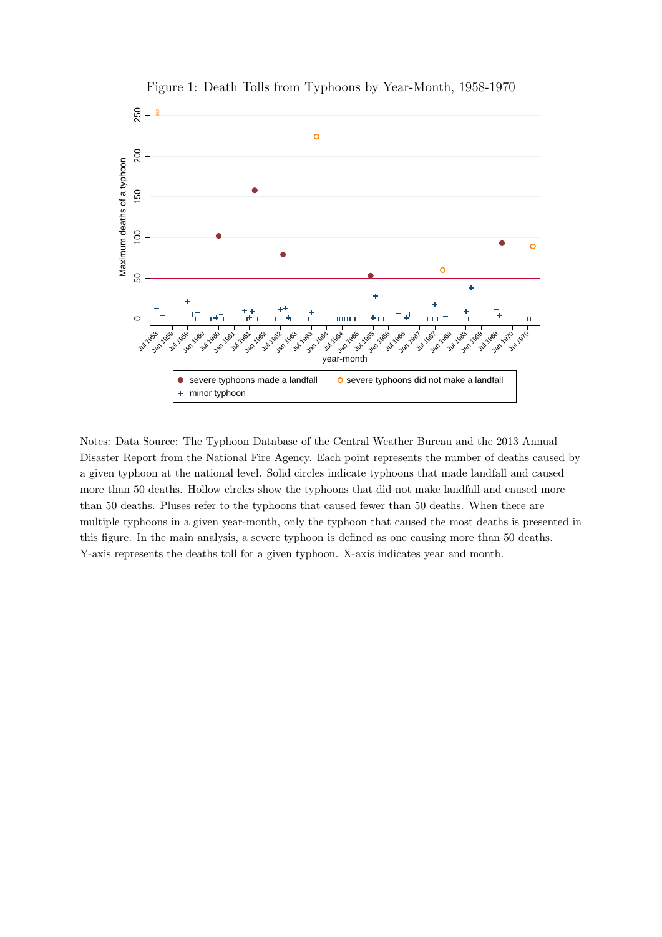<span id="page-23-0"></span>

Figure 1: Death Tolls from Typhoons by Year-Month, 1958-1970

Notes: Data Source: The Typhoon Database of the Central Weather Bureau and the 2013 Annual Disaster Report from the National Fire Agency. Each point represents the number of deaths caused by a given typhoon at the national level. Solid circles indicate typhoons that made landfall and caused more than 50 deaths. Hollow circles show the typhoons that did not make landfall and caused more than 50 deaths. Pluses refer to the typhoons that caused fewer than 50 deaths. When there are multiple typhoons in a given year-month, only the typhoon that caused the most deaths is presented in this figure. In the main analysis, a severe typhoon is defined as one causing more than 50 deaths. Y-axis represents the deaths toll for a given typhoon. X-axis indicates year and month.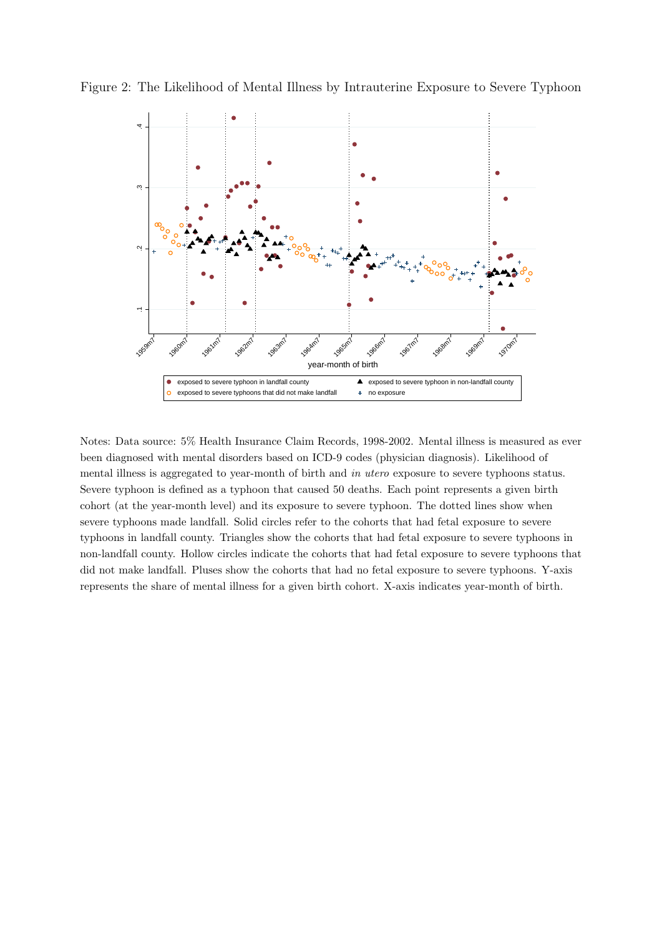<span id="page-24-0"></span>



Notes: Data source: 5% Health Insurance Claim Records, 1998-2002. Mental illness is measured as ever been diagnosed with mental disorders based on ICD-9 codes (physician diagnosis). Likelihood of mental illness is aggregated to year-month of birth and in utero exposure to severe typhoons status. Severe typhoon is defined as a typhoon that caused 50 deaths. Each point represents a given birth cohort (at the year-month level) and its exposure to severe typhoon. The dotted lines show when severe typhoons made landfall. Solid circles refer to the cohorts that had fetal exposure to severe typhoons in landfall county. Triangles show the cohorts that had fetal exposure to severe typhoons in non-landfall county. Hollow circles indicate the cohorts that had fetal exposure to severe typhoons that did not make landfall. Pluses show the cohorts that had no fetal exposure to severe typhoons. Y-axis represents the share of mental illness for a given birth cohort. X-axis indicates year-month of birth.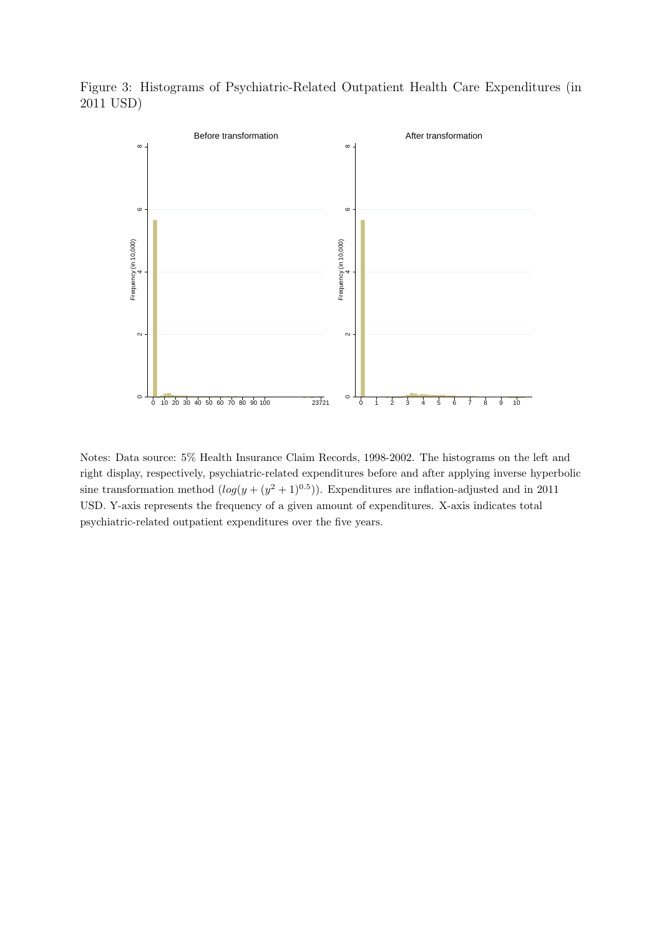<span id="page-25-0"></span>Figure 3: Histograms of Psychiatric-Related Outpatient Health Care Expenditures (in 2011 USD)



Notes: Data source: 5% Health Insurance Claim Records, 1998-2002. The histograms on the left and right display, respectively, psychiatric-related expenditures before and after applying inverse hyperbolic sine transformation method  $(log(y + (y^2 + 1)^{0.5}))$ . Expenditures are inflation-adjusted and in 2011 USD. Y-axis represents the frequency of a given amount of expenditures. X-axis indicates total psychiatric-related outpatient expenditures over the five years.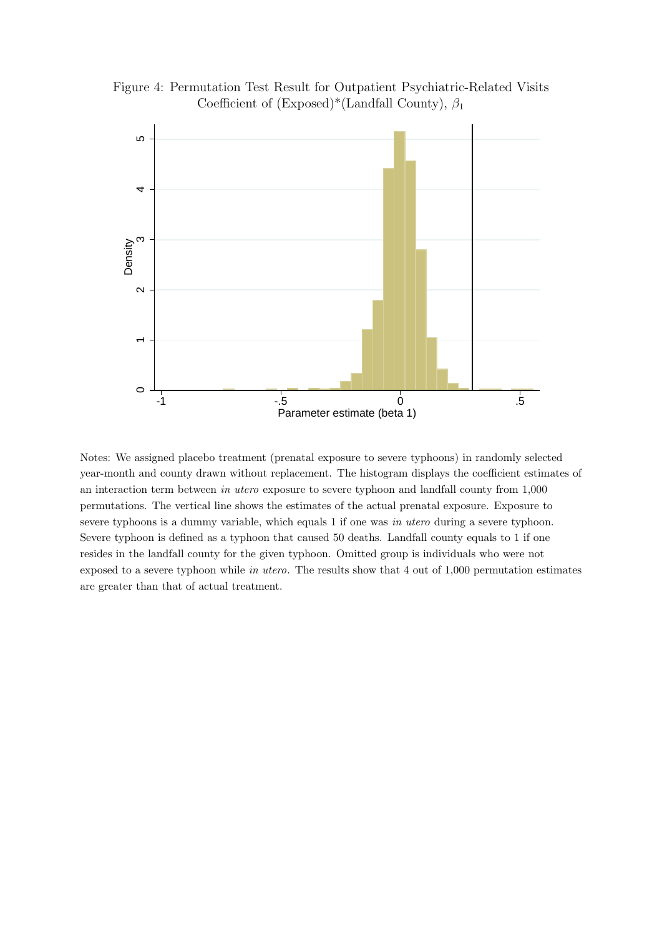<span id="page-26-0"></span>



Notes: We assigned placebo treatment (prenatal exposure to severe typhoons) in randomly selected year-month and county drawn without replacement. The histogram displays the coefficient estimates of an interaction term between in utero exposure to severe typhoon and landfall county from 1,000 permutations. The vertical line shows the estimates of the actual prenatal exposure. Exposure to severe typhoons is a dummy variable, which equals 1 if one was in utero during a severe typhoon. Severe typhoon is defined as a typhoon that caused 50 deaths. Landfall county equals to 1 if one resides in the landfall county for the given typhoon. Omitted group is individuals who were not exposed to a severe typhoon while in utero. The results show that 4 out of 1,000 permutation estimates are greater than that of actual treatment.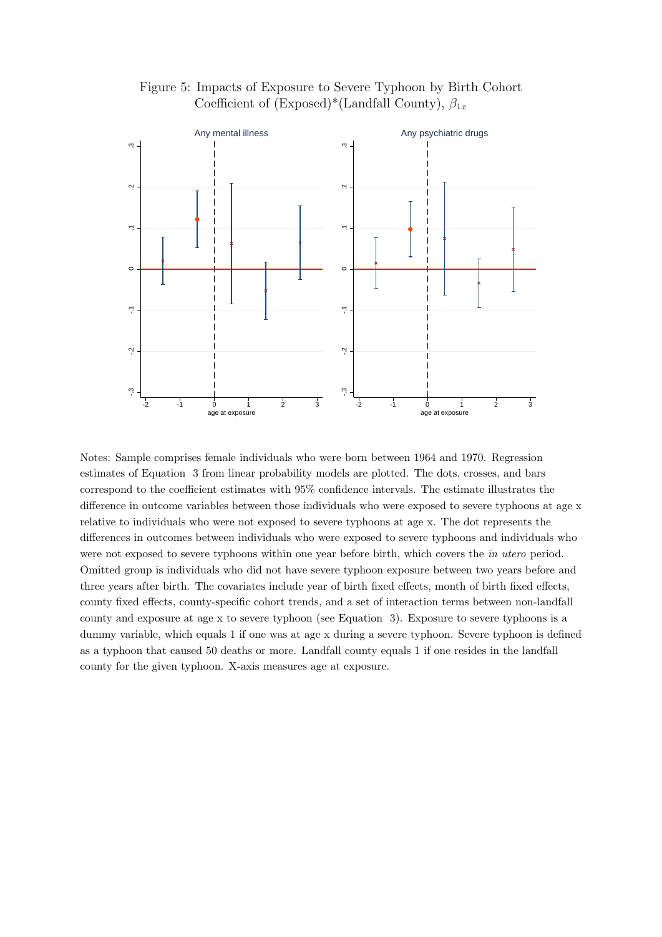Figure 5: Impacts of Exposure to Severe Typhoon by Birth Cohort Coefficient of (Exposed)\*(Landfall County),  $\beta_{1x}$ 

<span id="page-27-0"></span>

Notes: Sample comprises female individuals who were born between 1964 and 1970. Regression estimates of Equation [3](#page-10-0) from linear probability models are plotted. The dots, crosses, and bars correspond to the coefficient estimates with 95% confidence intervals. The estimate illustrates the difference in outcome variables between those individuals who were exposed to severe typhoons at age x relative to individuals who were not exposed to severe typhoons at age x. The dot represents the differences in outcomes between individuals who were exposed to severe typhoons and individuals who were not exposed to severe typhoons within one year before birth, which covers the in utero period. Omitted group is individuals who did not have severe typhoon exposure between two years before and three years after birth. The covariates include year of birth fixed effects, month of birth fixed effects, county fixed effects, county-specific cohort trends, and a set of interaction terms between non-landfall county and exposure at age x to severe typhoon (see Equation [3\)](#page-10-0). Exposure to severe typhoons is a dummy variable, which equals 1 if one was at age x during a severe typhoon. Severe typhoon is defined as a typhoon that caused 50 deaths or more. Landfall county equals 1 if one resides in the landfall county for the given typhoon. X-axis measures age at exposure.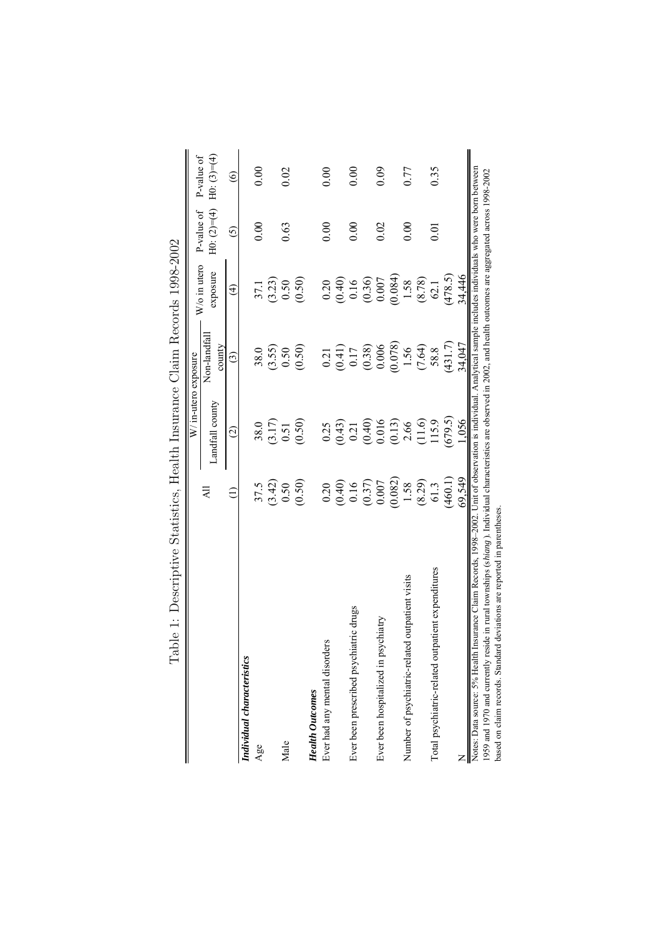<span id="page-28-0"></span>

|                                                                                                                                                                      |                    | W/in-utero exposure   |                        |                      |                                                                 |                   |
|----------------------------------------------------------------------------------------------------------------------------------------------------------------------|--------------------|-----------------------|------------------------|----------------------|-----------------------------------------------------------------|-------------------|
|                                                                                                                                                                      | $\overline{AB}$    | Landfall county       | Non-landfall<br>county | exposure             | $H_0: (2)=(4)$ $H_0: (3)=(4)$<br>$W/\sigma$ in utero P-value of | P-value of        |
|                                                                                                                                                                      |                    | $\widehat{\omega}$    | ⊙                      | $\widehat{t}$        | <u>රි</u>                                                       | $\widehat{\circ}$ |
| Individual characteristics                                                                                                                                           |                    |                       |                        |                      |                                                                 |                   |
| Age                                                                                                                                                                  | 37.5               | 38.0                  | 38.0                   | 37.1                 | 0.00                                                            | 0.00              |
|                                                                                                                                                                      |                    |                       | (3.55)                 |                      |                                                                 |                   |
| Male                                                                                                                                                                 | $(3.42)$<br>0.50   | $\frac{(3.17)}{0.51}$ | 0.50                   | $\binom{3.23}{0.50}$ | 0.63                                                            | 0.02              |
|                                                                                                                                                                      | (0.50)             | (0.50)                | (0.50)                 | (0.50)               |                                                                 |                   |
| <b>Health Outcomes</b>                                                                                                                                               |                    |                       |                        |                      |                                                                 |                   |
| Ever had any mental disorders                                                                                                                                        | 0.20               | 0.25                  | 0.21                   | 0.20                 | 0.00                                                            | 0.00              |
|                                                                                                                                                                      |                    |                       |                        |                      |                                                                 |                   |
| Ever been prescribed psychiatric drugs                                                                                                                               | $(0.40)$<br>$0.16$ | $(0.43)$<br>$0.21$    | $(0.41)$<br>0.17       | $(0.40)$<br>0.16     | 0.00                                                            | 0.00              |
|                                                                                                                                                                      | $(0.37)$<br>0.007  |                       | (0.38)                 | (0.36)               |                                                                 |                   |
| Ever been hospitalized in psychiatry                                                                                                                                 |                    | $(0.40)$<br>$0.016$   | 0.006                  | $0.007\,$            | 0.02                                                            | 0.09              |
|                                                                                                                                                                      | (0.082)            | (0.13)                | (0.078)                | (0.084)              |                                                                 |                   |
| d outpatient visits<br>Number of psychiatric-relate                                                                                                                  | 1.58               | 2.66                  | 1.56                   | 1.58                 | 0.00                                                            | 0.77              |
|                                                                                                                                                                      | (8.29)             | (11.6)                | (7.64)                 | (8.78)               |                                                                 |                   |
| Total psychiatric-related outpatient expenditures                                                                                                                    | 61.3               | 115.9                 | 58.8                   | 62.1                 | 0.01                                                            | 0.35              |
|                                                                                                                                                                      | (460.1)            | (679.5)               | (431.7)                | (478.5)              |                                                                 |                   |
|                                                                                                                                                                      | 69,549             | 1,056                 | 34,047                 | 34,446               |                                                                 |                   |
| Notes: Data source: 5% Health Insurance Claim Records, 1998–2002. Unit of observation is individual. Analytical sample includes individuals who were born between    |                    |                       |                        |                      |                                                                 |                   |
| 1959 and 1970 and currently reside in rural townships (shiang). Individual characteristics are observed in 2002, and health outcomes are aggregated across 1998-2002 |                    |                       |                        |                      |                                                                 |                   |
| based on claim records. Standard deviations are reported in parentheses.                                                                                             |                    |                       |                        |                      |                                                                 |                   |

Table 1: Descriptive Statistics. Health Insurance Claim Records 1998-2002 Table 1: Descriptive Statistics, Health Insurance Claim Records 1998-2002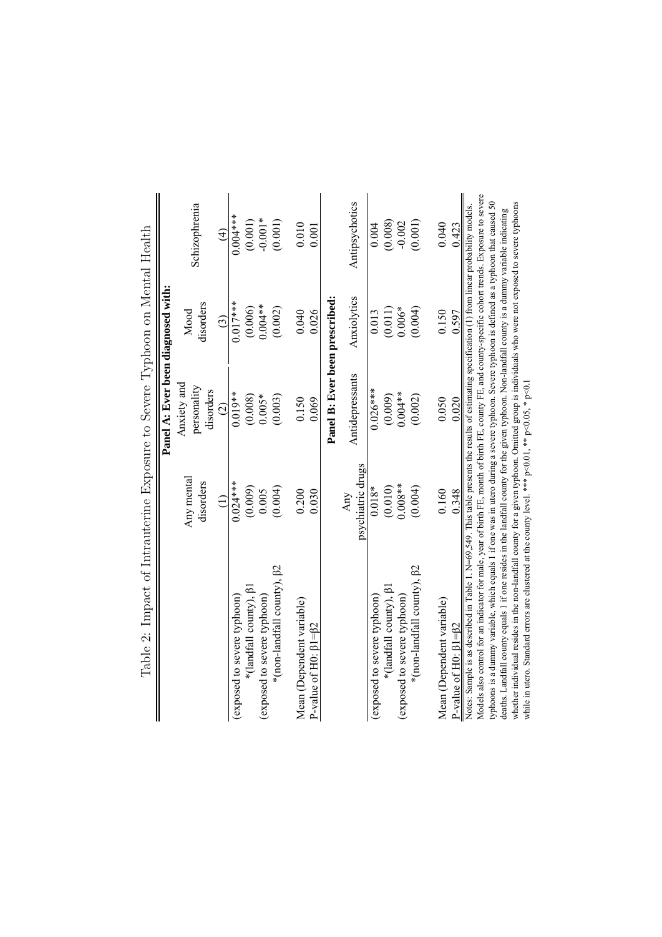| Tapie 2: The Stripped Property of Alexander Development of Alexander Charles Charles and Alexander Charles Cha                                                                                                                                                                                              |                          |                                         |                   |                |
|-------------------------------------------------------------------------------------------------------------------------------------------------------------------------------------------------------------------------------------------------------------------------------------------------------------|--------------------------|-----------------------------------------|-------------------|----------------|
|                                                                                                                                                                                                                                                                                                             |                          | Panel A: Ever been diagnosed with:      |                   |                |
|                                                                                                                                                                                                                                                                                                             | Any mental<br>disorders  | Anxiety and<br>personality<br>disorders | disorders<br>Mood | Schizophrenia  |
|                                                                                                                                                                                                                                                                                                             | $\widehat{\Xi}$          | $\widehat{\circ}$                       | $\widehat{c}$     | $\widehat{E}$  |
| (exposed to severe typhoon)                                                                                                                                                                                                                                                                                 | $0.024***$               | $0.019**$                               | $0.017***$        | $0.004***$     |
| *(landfall county), <sup>[31]</sup>                                                                                                                                                                                                                                                                         | (0.009)                  | (0.008)                                 | (0.006)           | (0.001)        |
| (exposed to severe typhoon)                                                                                                                                                                                                                                                                                 | 0.005                    | $0.005*$                                | $0.004**$         | $-0.001*$      |
| *(non-landfall county), $\beta$ 2                                                                                                                                                                                                                                                                           | (0.004)                  | (0.003)                                 | (0.002)           | (0.001)        |
| Mean (Dependent variable)                                                                                                                                                                                                                                                                                   | 0.200                    | 0.150                                   | 0.040             | 0.010          |
| P-value of H0: $\beta$ 1= $\beta$ 2                                                                                                                                                                                                                                                                         | 0.030                    | 0.069                                   | 0.026             | 0.001          |
|                                                                                                                                                                                                                                                                                                             |                          | Panel B: Ever been prescribed:          |                   |                |
|                                                                                                                                                                                                                                                                                                             | psychiatric drugs<br>Any | Antidepressants                         | Anxiolytics       | Antipsychotics |
| (exposed to severe typhoon)                                                                                                                                                                                                                                                                                 | $0.018*$                 | $0.026***$                              | 0.013             | 0.004          |
| *(landfall county), <sup>[3]</sup>                                                                                                                                                                                                                                                                          | (0.010)                  | (0.009)                                 | (0.011)           | (0.008)        |
| (exposed to severe typhoon)                                                                                                                                                                                                                                                                                 | $0.008**$                | $0.004**$                               | $0.006*$          | $-0.002$       |
| *(non-landfall county), $\beta$ 2                                                                                                                                                                                                                                                                           | (0.004)                  | (0.002)                                 | (0.004)           | (0.001)        |
| Mean (Dependent variable)                                                                                                                                                                                                                                                                                   | 0.160                    | 0.050                                   | 0.150             | 0.040          |
| P-value of $H0: \beta 1 = \beta 2$                                                                                                                                                                                                                                                                          | 0.348                    | 0.020                                   | 0.597             | 0.423          |
| Models also control for an indicator for male, year of birth FE, month of birth FE, county FE, and county-specific cohort trends. Exposure to severe<br>Notes: Sample is as described in Table 1. N=69,549. This table presents the results of estimating specification (1) from linear probability models. |                          |                                         |                   |                |
| typhoons is a dummy variable, which equals 1 if one was in utero during a severe typhoon. Severe typhoon is defined as a typhoon that caused 50                                                                                                                                                             |                          |                                         |                   |                |
| deaths. Landfall county equals 1 if one resides in the landfall county for the given typhoon. Non-landfall county is a dummy variable indicating                                                                                                                                                            |                          |                                         |                   |                |
| whether individual resides in the non-landfall county for a given typhoon. Omitted group is individuals who were not exposed to severe typhoons<br>while in utero. Standard errors are clustered at the county level. *** $p<0.01$ , ** $p<0.05$ , * $p<0.1$                                                |                          |                                         |                   |                |
|                                                                                                                                                                                                                                                                                                             |                          |                                         |                   |                |

<span id="page-29-0"></span>Tahle 2: Impact of Intrantering Exposure to Severe Typhom on Mental Health Table 2: Impact of Intrauterine Exposure to Severe Typhoon on Mental Health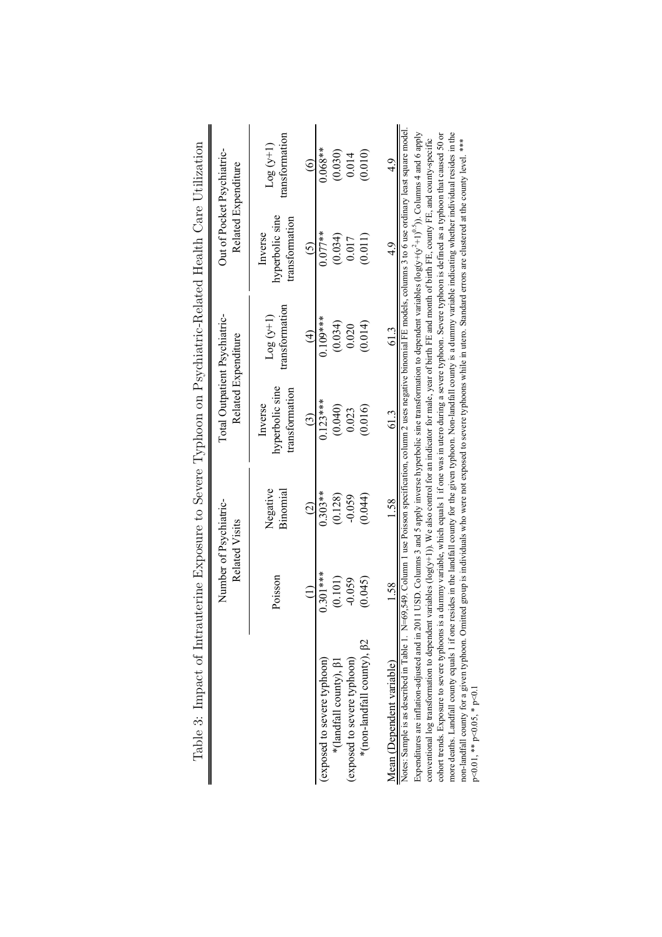| TGS A THE CONSTRUCT TO THE PROTECT CHARGES OF THE CONSTRUCTED AND THE CONSTRUCTED OVER THE CONSTRUCTION OF THE CONSTRUCTION OF THE CONSTRUCTION OF THE CONSTRUCTION OF THE CONSTRUCTION OF THE CONSTRUCTION OF THE CONSTRUCTIO                                  |               |                                                 |                                                                                                                                         |                                                      |                                                   |                              |
|-----------------------------------------------------------------------------------------------------------------------------------------------------------------------------------------------------------------------------------------------------------------|---------------|-------------------------------------------------|-----------------------------------------------------------------------------------------------------------------------------------------|------------------------------------------------------|---------------------------------------------------|------------------------------|
|                                                                                                                                                                                                                                                                 |               | Number of Psychiatric-<br><b>Related Visits</b> |                                                                                                                                         | Total Outpatient Psychiatric-<br>Related Expenditure | Out of Pocket Psychiatric-<br>Related Expenditure |                              |
|                                                                                                                                                                                                                                                                 | Poisson       | Negative<br>Binomia                             | hyperbolic sine<br>transformation<br>Inverse                                                                                            | transformation<br>$Log(y+1)$                         | hyperbolic sine<br>transformation<br>Inverse      | transformation<br>$Log(y+1)$ |
|                                                                                                                                                                                                                                                                 | $\widehat{=}$ | $\widehat{c}$                                   | $\widehat{c}$                                                                                                                           | $\widehat{d}$                                        | $\odot$                                           | $\odot$                      |
| (exposed to severe typhoon)                                                                                                                                                                                                                                     | $0.301***$    | $0.303**$                                       | $0.123***$                                                                                                                              | $0.109***$                                           | $0.077**$                                         | $0.068**$                    |
| *(landfall county), <sup>[31</sup>                                                                                                                                                                                                                              | (0.101)       | (0.128)                                         | (0.040)                                                                                                                                 | (0.034)                                              | (0.034)                                           | (0.030)                      |
| (exposed to severe typhoon)                                                                                                                                                                                                                                     | $-0.059$      | $-0.059$                                        | 0.023                                                                                                                                   | 0.020                                                | 0.017                                             | 0.014                        |
| *(non-landfall county), $\beta$ 2                                                                                                                                                                                                                               | (0.045)       | (0.044)                                         | (0.016)                                                                                                                                 | (0.014)                                              | (0.011)                                           | (0.010)                      |
| Mean (Dependent variable)                                                                                                                                                                                                                                       | 1.58          | 1.58                                            | 61.3                                                                                                                                    | 61.3                                                 | $\frac{4}{9}$                                     | $\frac{4}{9}$                |
| Notes: Sample is as described in Table 1. N=69,549. Column 1 use Poisson specification, column 2 uses negative binomial FE models, columns 3 to 6 use ordinary least square model                                                                               |               |                                                 |                                                                                                                                         |                                                      |                                                   |                              |
| Expenditures are inflation-adjusted and in 2011 USD. Columns 3 and 5 apply inverse hyperbolic sine transformation to dependent variables (log(y+t)(y <sup>4</sup> +1) <sup>02</sup> )). Columns 4 and 6 apply<br>conventional log transformation to dependent v |               |                                                 | variables (log(y+1)). We also control for an indicator for male, year of birth FE and month of birth FE, county FE, and county-specific |                                                      |                                                   |                              |
| cohort trends. Exposure to severe typhoons is a dummy variable, which equals 1 if one was in utero during a severe typhoon. Severe typhoon is defined as a typhoon that caused 50 or                                                                            |               |                                                 |                                                                                                                                         |                                                      |                                                   |                              |
| more deaths. Landfall county equals 1 if one resides in the landfall county for the given typhoon. Non-landfall county is a dummy variable indicating whether individual resides in the                                                                         |               |                                                 |                                                                                                                                         |                                                      |                                                   |                              |
| non-landfall county for a given typhoon. Omitted group is individuals who were not exposed to severe typhoons while in utero. Standard errors are clustered at the county level. ***                                                                            |               |                                                 |                                                                                                                                         |                                                      |                                                   |                              |

p<0.01, \*\* p<0.05, \* p<0.1

p<0.01, \*\* p<0.05, \* p<0.1

<span id="page-30-0"></span>Table 3: Impact of Intranterine Exposure to Severe Typhoon on Psychiatric-Related Health Care Utilization Table 3: Impact of Intrauterine Exposure to Severe Typhoon on Psychiatric-Related Health Care Utilization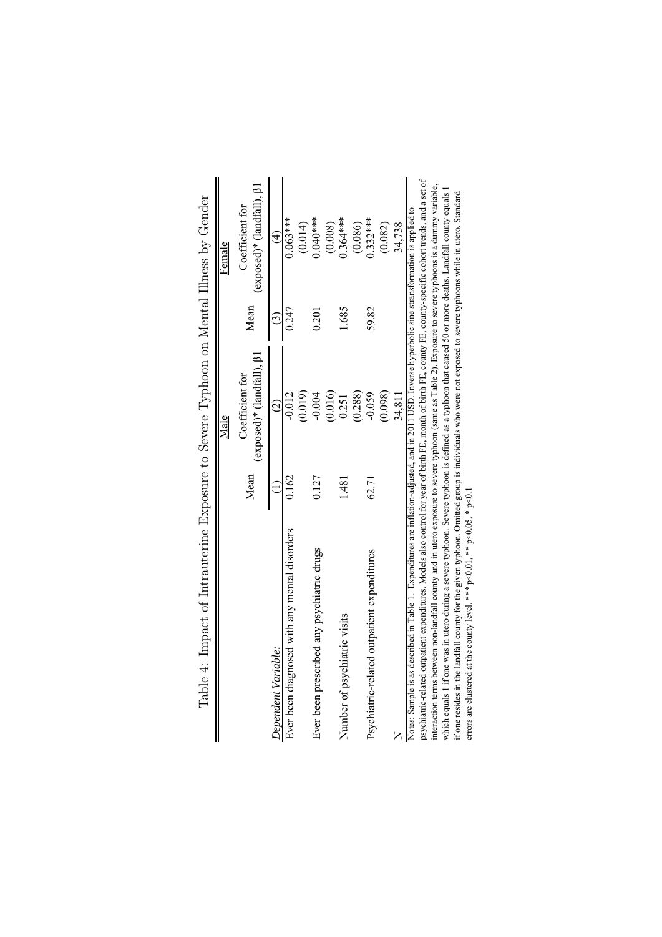|                                                                                                                                                                                                                                                                                                                                                                                                                                                                                                                                                                                                                                                                                                                                                                                                                                                                                                        |       | Male                                                  |       | Female                                              |
|--------------------------------------------------------------------------------------------------------------------------------------------------------------------------------------------------------------------------------------------------------------------------------------------------------------------------------------------------------------------------------------------------------------------------------------------------------------------------------------------------------------------------------------------------------------------------------------------------------------------------------------------------------------------------------------------------------------------------------------------------------------------------------------------------------------------------------------------------------------------------------------------------------|-------|-------------------------------------------------------|-------|-----------------------------------------------------|
|                                                                                                                                                                                                                                                                                                                                                                                                                                                                                                                                                                                                                                                                                                                                                                                                                                                                                                        | Mean  | $(exposed)*$ (landfall), $\beta$ 1<br>Coefficient for | Mean  | (exposed)* (landfall), $\beta$ 1<br>Coefficient for |
| Dependent Variable:                                                                                                                                                                                                                                                                                                                                                                                                                                                                                                                                                                                                                                                                                                                                                                                                                                                                                    |       | $\widehat{c}$                                         | ල     | €                                                   |
| Ever been diagnosed with any mental disorders                                                                                                                                                                                                                                                                                                                                                                                                                                                                                                                                                                                                                                                                                                                                                                                                                                                          | 0.162 | $-0.012$                                              | 0.247 | $0.063***$                                          |
|                                                                                                                                                                                                                                                                                                                                                                                                                                                                                                                                                                                                                                                                                                                                                                                                                                                                                                        |       | (0.019)                                               |       | (0.014)                                             |
| Ever been prescribed any psychiatric drugs                                                                                                                                                                                                                                                                                                                                                                                                                                                                                                                                                                                                                                                                                                                                                                                                                                                             | 0.127 | 0.004                                                 | 0.201 | $0.040***$                                          |
|                                                                                                                                                                                                                                                                                                                                                                                                                                                                                                                                                                                                                                                                                                                                                                                                                                                                                                        |       | (0.016)                                               |       | (0.008)                                             |
| Number of psychiatric visits                                                                                                                                                                                                                                                                                                                                                                                                                                                                                                                                                                                                                                                                                                                                                                                                                                                                           | 1.481 | 0.251                                                 | 1.685 | $0.364***$                                          |
|                                                                                                                                                                                                                                                                                                                                                                                                                                                                                                                                                                                                                                                                                                                                                                                                                                                                                                        |       | (0.288)                                               |       | (0.086)                                             |
| Psychiatric-related outpatient expenditures                                                                                                                                                                                                                                                                                                                                                                                                                                                                                                                                                                                                                                                                                                                                                                                                                                                            | 62.71 | $-0.059$                                              | 59.82 | $0.332***$                                          |
|                                                                                                                                                                                                                                                                                                                                                                                                                                                                                                                                                                                                                                                                                                                                                                                                                                                                                                        |       | (0.098)                                               |       | (0.082)                                             |
|                                                                                                                                                                                                                                                                                                                                                                                                                                                                                                                                                                                                                                                                                                                                                                                                                                                                                                        |       | 34.811                                                |       | 34,738                                              |
| psychiatric-related outpatient expenditures. Models also control for year of birth FE, month of birth FE, county FE, county-specific cohort trends, and a set of<br>interaction terms between non-landfall county and in utero exposure to severe typhoon (same as Table 2). Exposure to severe typhoons is a dummy variable,<br>which equals 1 if one was in utero during a severe typhoon. Severe typhoon is defined as a typhoon that caused 50 or more deaths. Landfall county equals 1<br>if one resides in the landfall county for the given typhoon. Omitted group is individuals who were not exposed to severe typhoons while in utero. Standard<br>Notes: Sample is as described in Table 1. Expenditures are inflation-adjusted, and in 2011 USD. Inverse hyperbolic sine stransformation is applied to<br>errors are clustered at the county level. *** $p<0.01$ , ** $p<0.05$ , * $p<0.1$ |       |                                                       |       |                                                     |
|                                                                                                                                                                                                                                                                                                                                                                                                                                                                                                                                                                                                                                                                                                                                                                                                                                                                                                        |       |                                                       |       |                                                     |

<span id="page-31-0"></span>Table 4: Impact of Intrauterine Exposure to Severe Typhoon on Mental Illness by Gender Table 4: Impact of Intrauterine Exposure to Severe Typhoon on Mental Illness by Gender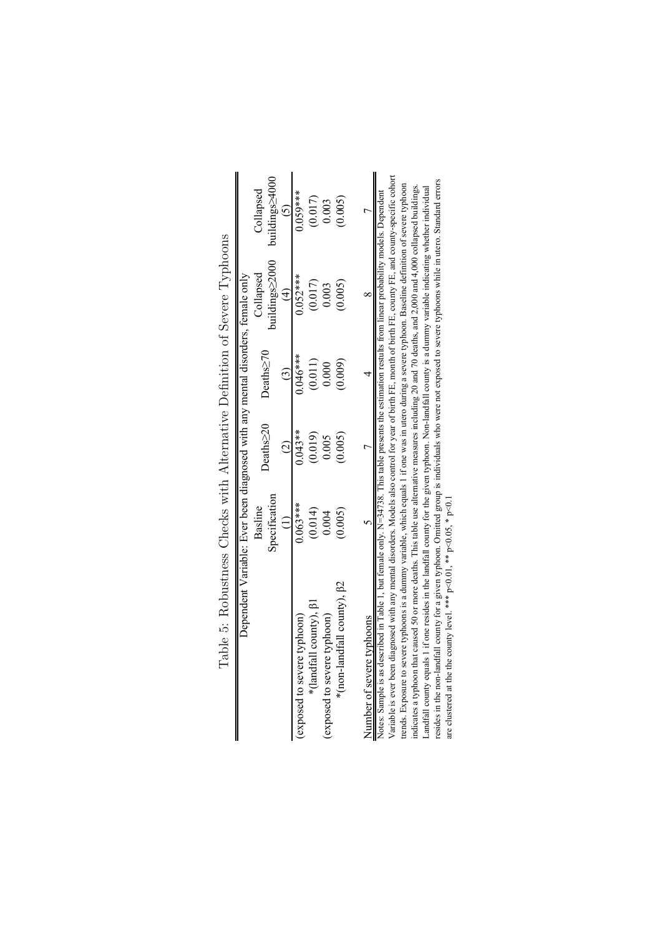| Top of the control control control control control control of the control of the control of the control of the control of the control of the control of the control of the control of the control of the control of the contro |                                                                                |           |            |                |                |
|--------------------------------------------------------------------------------------------------------------------------------------------------------------------------------------------------------------------------------|--------------------------------------------------------------------------------|-----------|------------|----------------|----------------|
|                                                                                                                                                                                                                                | Dependent Variable: Ever been diagnosed with any mental disorders, female only |           |            |                |                |
|                                                                                                                                                                                                                                | Basline                                                                        | Deaths>20 | Deaths>70  | Collapsed      | Collapsed      |
|                                                                                                                                                                                                                                | Specification                                                                  |           |            | buildings>2000 | buildings>4000 |
|                                                                                                                                                                                                                                |                                                                                |           |            | $\overline{4}$ |                |
| (exposed to severe typhoon)                                                                                                                                                                                                    | $0.063***$                                                                     | $0.043**$ | $0.046***$ | $0.052***$     | $0.059***$     |
| *(landfall county), <sup>[31]</sup>                                                                                                                                                                                            | (0.014)                                                                        | (0.019)   | (0.011)    | (0.017)        | (0.017)        |
| (exposed to severe typhoon)                                                                                                                                                                                                    | 0.004                                                                          | 0.005     | 0.000      | 0.003          | 0.003          |
| *(non-landfall county), <sup>[2]</sup>                                                                                                                                                                                         | (0.005)                                                                        | (0.005)   | (0.009)    | (0.005)        | (0.005)        |
|                                                                                                                                                                                                                                |                                                                                |           |            |                |                |
| Number of severe typhoons                                                                                                                                                                                                      |                                                                                |           |            |                |                |
| Notes: Sample is as described in Table 1, but female only. N=34738. This table presents the estimation restults from linear probability models. Dependent                                                                      |                                                                                |           |            |                |                |
| Variable is ever been diagnosed with any mental disorders. Models also control for year of birth FE, month of birth FE, county FE, and county-specific cohort                                                                  |                                                                                |           |            |                |                |
| trends. Exposure to severe typhoons is a dummy variable, which equals 1 if one was in utero during a severe typhoon. Baseline definition of severe typhoon                                                                     |                                                                                |           |            |                |                |
| indicates a typhoon that caused 50 or more deaths. This table use alternative measures including 20 and 70 deaths, and 2,000 and 4,000 collapsed buildings.                                                                    |                                                                                |           |            |                |                |
| Landfall county equals 1 if one resides in the landfall county for the given typhoon. Non-landfall county is a dummy variable indicating whether individual                                                                    |                                                                                |           |            |                |                |

<span id="page-32-0"></span>

| ł                                  |
|------------------------------------|
| $\frac{1}{1}$                      |
| I                                  |
|                                    |
| j                                  |
| i<br>Continued in the continued in |
| j                                  |
| $\overline{\phantom{a}}$           |
|                                    |
| )<br>                              |
| ׅ֘<br>ו<br>י                       |
|                                    |
| $\frac{1}{1}$                      |
|                                    |
| ĺ                                  |
|                                    |
|                                    |
|                                    |
|                                    |
| ׇ֚֘                                |
|                                    |
| ֕                                  |
|                                    |
|                                    |
| l                                  |
|                                    |
|                                    |
|                                    |
| )<br>}<br>}                        |
|                                    |
|                                    |
| į                                  |
| $\frac{1}{2}$                      |
|                                    |
|                                    |
|                                    |
| ׇ֚֓֡                               |
|                                    |
|                                    |
|                                    |
|                                    |
| .<br> <br>                         |
| I                                  |
|                                    |

Variable is ever been diagnosed with any mental disorders. Models also control for year of birth FE, month of birth FE, county FE, and county-specific cohort Landrau county equas 1 ir one resdes in the landrau county for the given typhoon. Non-landrau county is a dummy variable moticality eventer individual<br>resides in the non-landfall county for a given typhoon. Omitted group i resides in the non-landfall county for a given typhoon. Omitted group is individuals who were not exposed to severe typhoons while in utero. Standard errors trends. Exposure to severe typhoons is a dummy variable, which equals 1 if one was in utero during a severe typhoon. Baseline definition of severe typhoon indicates a typhoon that caused 50 or more deaths. This table use alternative measures including 20 and 70 deaths, and 2,000 and 4,000 collapsed buildings. Landfall county equals 1 if one resides in the landfall county for the given typhoon. Non-landfall county is a dummy variable indicating whether individual Notes: Sample is as described in Table 1, but female only. N=34738. This table presents the estimation restults from linear probability models. Dependent are clustered at the the county level. \*\*\*  $p<0.01$ , \*\*  $p<0.05$ , \*  $p<0.1$ ∑∥z ≍  $\mathbf{r}$  $\mathbb{Z}$ ..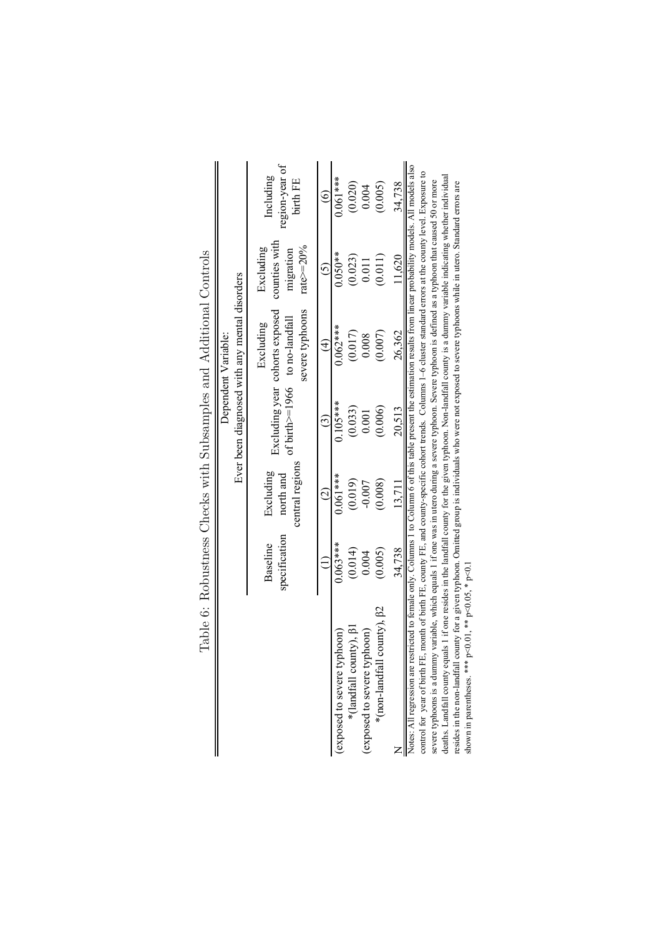<span id="page-33-0"></span>

|                                                                                                                                                                                                                                                                                                                                                |                           |                                           |                                   | Ever been diagnosed with any mental disorders<br>Dependent Variable: |                                                             |                                         |
|------------------------------------------------------------------------------------------------------------------------------------------------------------------------------------------------------------------------------------------------------------------------------------------------------------------------------------------------|---------------------------|-------------------------------------------|-----------------------------------|----------------------------------------------------------------------|-------------------------------------------------------------|-----------------------------------------|
|                                                                                                                                                                                                                                                                                                                                                | specification<br>Baseline | central regions<br>Excluding<br>north and | of birth $>=$ 1966 to no-landfall | severe typhoons<br>Excluding year cohorts exposed<br>Excluding       | counties with<br>rate $\geq$ =20%<br>Excluding<br>migration | region-year of<br>Including<br>birth FE |
|                                                                                                                                                                                                                                                                                                                                                |                           | $\widehat{\mathcal{Q}}$                   | $\widehat{c}$                     | $\oplus$                                                             | $\tilde{c}$                                                 | $\widehat{\circ}$                       |
| (exposed to severe typhoon)                                                                                                                                                                                                                                                                                                                    | $0.063***$                | $0.061***$                                | $0.105***$                        | $0.062***$                                                           | $0.050**$                                                   | $0.061***$                              |
| *(landfall county), $\beta$ 1                                                                                                                                                                                                                                                                                                                  | (0.014)                   | (0.019)                                   | (0.033)                           | (0.017)                                                              | (0.023)                                                     | (0.020)                                 |
| (exposed to severe typhoon)                                                                                                                                                                                                                                                                                                                    | 0.004                     | $-0.007$                                  | 0.001                             | 0.008                                                                | 0.011                                                       | 0.004                                   |
| county), $\beta$ 2<br>*(non-landfall                                                                                                                                                                                                                                                                                                           | (0.005)                   | (0.008)                                   | (0.006)                           | (0.007)                                                              | (0.011)                                                     | (0.005)                                 |
|                                                                                                                                                                                                                                                                                                                                                | 34.738                    | 13.711                                    | 20,513                            | 26,362                                                               | 1,620                                                       | 34.738                                  |
| Notes: All regression are restricted to female only. Columns 1 to Column 6 of this table present the estimation results from linear probability models. All models also<br>control for year of birth FE, month of birth FE, county FE, and county-specific cohort trends. Columns 1-6 cluster standard errors at the county level. Exposure to |                           |                                           |                                   |                                                                      |                                                             |                                         |
| severe typhoons is a dummy variable, which equals 1 if one was in utero during a severe typhoon. Severe typhoon is defined as a typhoon that caused 50 or more                                                                                                                                                                                 |                           |                                           |                                   |                                                                      |                                                             |                                         |
| deaths. Landfall county equals 1 if one resides in the landfall county for the given typhoon. Non-landfall county is a dummy variable indicating whether individual<br>resides in the non-landfall county for a given typhoon. Omitted group is individuals who were not exposed to severe typhoons while in utero. Standard errors are        |                           |                                           |                                   |                                                                      |                                                             |                                         |
| shown in parentheses. *** $p<0.01$ , ** $p<0.05$ , * $p<0.1$                                                                                                                                                                                                                                                                                   |                           |                                           |                                   |                                                                      |                                                             |                                         |

Table 6: Robustness Checks with Subsamples and Additional Controls Table 6: Robustness Checks with Subsamples and Additional Controls